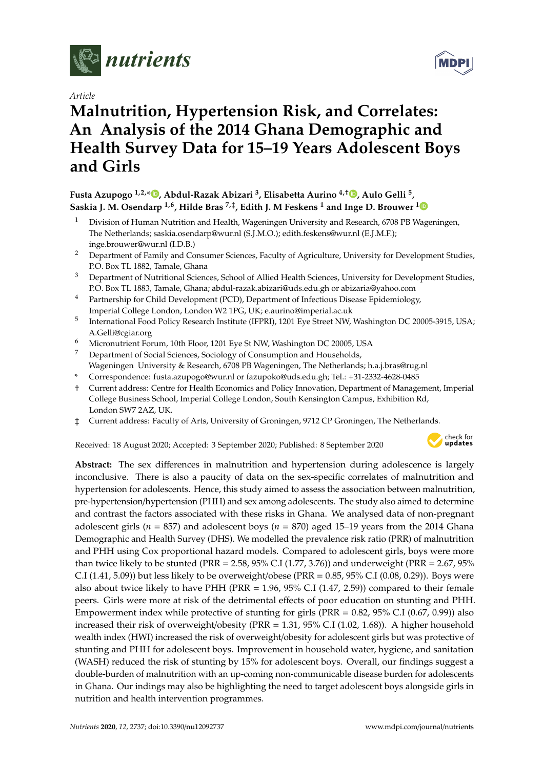

*Article*

# **Malnutrition, Hypertension Risk, and Correlates: An Analysis of the 2014 Ghana Demographic and Health Survey Data for 15–19 Years Adolescent Boys and Girls**

### **Fusta Azupogo 1,2,[\\*](https://orcid.org/0000-0003-0467-0856) , Abdul-Razak Abizari <sup>3</sup> , Elisabetta Aurino 4,**† **[,](https://orcid.org/0000-0001-5814-2704) Aulo Gelli <sup>5</sup> , Saskia J. M. Osendarp 1,6, Hilde Bras 7,**‡ **, Edith J. M Feskens <sup>1</sup> and Inge D. Brouwer [1](https://orcid.org/0000-0002-2554-7227)**

- <sup>1</sup> Division of Human Nutrition and Health, Wageningen University and Research, 6708 PB Wageningen, The Netherlands; saskia.osendarp@wur.nl (S.J.M.O.); edith.feskens@wur.nl (E.J.M.F.); inge.brouwer@wur.nl (I.D.B.)
- <sup>2</sup> Department of Family and Consumer Sciences, Faculty of Agriculture, University for Development Studies, P.O. Box TL 1882, Tamale, Ghana
- <sup>3</sup> Department of Nutritional Sciences, School of Allied Health Sciences, University for Development Studies, P.O. Box TL 1883, Tamale, Ghana; abdul-razak.abizari@uds.edu.gh or abizaria@yahoo.com
- <sup>4</sup> Partnership for Child Development (PCD), Department of Infectious Disease Epidemiology, Imperial College London, London W2 1PG, UK; e.aurino@imperial.ac.uk
- 5 International Food Policy Research Institute (IFPRI), 1201 Eye Street NW, Washington DC 20005-3915, USA; A.Gelli@cgiar.org
- <sup>6</sup> Micronutrient Forum, 10th Floor, 1201 Eye St NW, Washington DC 20005, USA
- <sup>7</sup> Department of Social Sciences, Sociology of Consumption and Households, Wageningen University & Research, 6708 PB Wageningen, The Netherlands; h.a.j.bras@rug.nl
- **\*** Correspondence: fusta.azupogo@wur.nl or fazupoko@uds.edu.gh; Tel.: +31-2332-4628-0485
- † Current address: Centre for Health Economics and Policy Innovation, Department of Management, Imperial College Business School, Imperial College London, South Kensington Campus, Exhibition Rd, London SW7 2AZ, UK.
- ‡ Current address: Faculty of Arts, University of Groningen, 9712 CP Groningen, The Netherlands.

Received: 18 August 2020; Accepted: 3 September 2020; Published: 8 September 2020



**Abstract:** The sex differences in malnutrition and hypertension during adolescence is largely inconclusive. There is also a paucity of data on the sex-specific correlates of malnutrition and hypertension for adolescents. Hence, this study aimed to assess the association between malnutrition, pre-hypertension/hypertension (PHH) and sex among adolescents. The study also aimed to determine and contrast the factors associated with these risks in Ghana. We analysed data of non-pregnant adolescent girls ( $n = 857$ ) and adolescent boys ( $n = 870$ ) aged 15–19 years from the 2014 Ghana Demographic and Health Survey (DHS). We modelled the prevalence risk ratio (PRR) of malnutrition and PHH using Cox proportional hazard models. Compared to adolescent girls, boys were more than twice likely to be stunted (PRR = 2.58, 95% C.I (1.77, 3.76)) and underweight (PRR =  $2.67$ , 95% C.I (1.41, 5.09)) but less likely to be overweight/obese (PRR =  $0.85$ , 95% C.I (0.08, 0.29)). Boys were also about twice likely to have PHH (PRR =  $1.96$ ,  $95\%$  C.I (1.47, 2.59)) compared to their female peers. Girls were more at risk of the detrimental effects of poor education on stunting and PHH. Empowerment index while protective of stunting for girls (PRR = 0.82, 95% C.I (0.67, 0.99)) also increased their risk of overweight/obesity (PRR = 1.31, 95% C.I (1.02, 1.68)). A higher household wealth index (HWI) increased the risk of overweight/obesity for adolescent girls but was protective of stunting and PHH for adolescent boys. Improvement in household water, hygiene, and sanitation (WASH) reduced the risk of stunting by 15% for adolescent boys. Overall, our findings suggest a double-burden of malnutrition with an up-coming non-communicable disease burden for adolescents in Ghana. Our indings may also be highlighting the need to target adolescent boys alongside girls in nutrition and health intervention programmes.

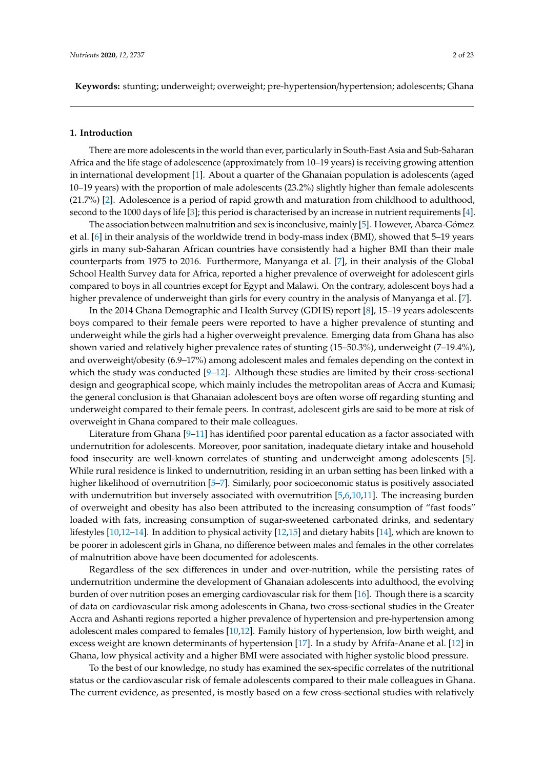**Keywords:** stunting; underweight; overweight; pre-hypertension/hypertension; adolescents; Ghana

#### **1. Introduction**

There are more adolescents in the world than ever, particularly in South-East Asia and Sub-Saharan Africa and the life stage of adolescence (approximately from 10–19 years) is receiving growing attention in international development [\[1\]](#page-19-0). About a quarter of the Ghanaian population is adolescents (aged 10–19 years) with the proportion of male adolescents (23.2%) slightly higher than female adolescents (21.7%) [\[2\]](#page-19-1). Adolescence is a period of rapid growth and maturation from childhood to adulthood, second to the 1000 days of life [\[3\]](#page-20-0); this period is characterised by an increase in nutrient requirements [\[4\]](#page-20-1).

The association between malnutrition and sex is inconclusive, mainly [\[5\]](#page-20-2). However, Abarca-Gómez et al. [\[6\]](#page-20-3) in their analysis of the worldwide trend in body-mass index (BMI), showed that 5–19 years girls in many sub-Saharan African countries have consistently had a higher BMI than their male counterparts from 1975 to 2016. Furthermore, Manyanga et al. [\[7\]](#page-20-4), in their analysis of the Global School Health Survey data for Africa, reported a higher prevalence of overweight for adolescent girls compared to boys in all countries except for Egypt and Malawi. On the contrary, adolescent boys had a higher prevalence of underweight than girls for every country in the analysis of Manyanga et al. [\[7\]](#page-20-4).

In the 2014 Ghana Demographic and Health Survey (GDHS) report [\[8\]](#page-20-5), 15–19 years adolescents boys compared to their female peers were reported to have a higher prevalence of stunting and underweight while the girls had a higher overweight prevalence. Emerging data from Ghana has also shown varied and relatively higher prevalence rates of stunting (15–50.3%), underweight (7–19.4%), and overweight/obesity (6.9–17%) among adolescent males and females depending on the context in which the study was conducted [\[9](#page-20-6)[–12\]](#page-20-7). Although these studies are limited by their cross-sectional design and geographical scope, which mainly includes the metropolitan areas of Accra and Kumasi; the general conclusion is that Ghanaian adolescent boys are often worse off regarding stunting and underweight compared to their female peers. In contrast, adolescent girls are said to be more at risk of overweight in Ghana compared to their male colleagues.

Literature from Ghana [\[9–](#page-20-6)[11\]](#page-20-8) has identified poor parental education as a factor associated with undernutrition for adolescents. Moreover, poor sanitation, inadequate dietary intake and household food insecurity are well-known correlates of stunting and underweight among adolescents [\[5\]](#page-20-2). While rural residence is linked to undernutrition, residing in an urban setting has been linked with a higher likelihood of overnutrition [\[5–](#page-20-2)[7\]](#page-20-4). Similarly, poor socioeconomic status is positively associated with undernutrition but inversely associated with overnutrition [\[5,](#page-20-2)[6](#page-20-3)[,10,](#page-20-9)[11\]](#page-20-8). The increasing burden of overweight and obesity has also been attributed to the increasing consumption of "fast foods" loaded with fats, increasing consumption of sugar-sweetened carbonated drinks, and sedentary lifestyles [\[10,](#page-20-9)[12](#page-20-7)[–14\]](#page-20-10). In addition to physical activity [\[12,](#page-20-7)[15\]](#page-20-11) and dietary habits [\[14\]](#page-20-10), which are known to be poorer in adolescent girls in Ghana, no difference between males and females in the other correlates of malnutrition above have been documented for adolescents.

Regardless of the sex differences in under and over-nutrition, while the persisting rates of undernutrition undermine the development of Ghanaian adolescents into adulthood, the evolving burden of over nutrition poses an emerging cardiovascular risk for them [\[16\]](#page-20-12). Though there is a scarcity of data on cardiovascular risk among adolescents in Ghana, two cross-sectional studies in the Greater Accra and Ashanti regions reported a higher prevalence of hypertension and pre-hypertension among adolescent males compared to females [\[10](#page-20-9)[,12\]](#page-20-7). Family history of hypertension, low birth weight, and excess weight are known determinants of hypertension [\[17\]](#page-20-13). In a study by Afrifa-Anane et al. [\[12\]](#page-20-7) in Ghana, low physical activity and a higher BMI were associated with higher systolic blood pressure.

To the best of our knowledge, no study has examined the sex-specific correlates of the nutritional status or the cardiovascular risk of female adolescents compared to their male colleagues in Ghana. The current evidence, as presented, is mostly based on a few cross-sectional studies with relatively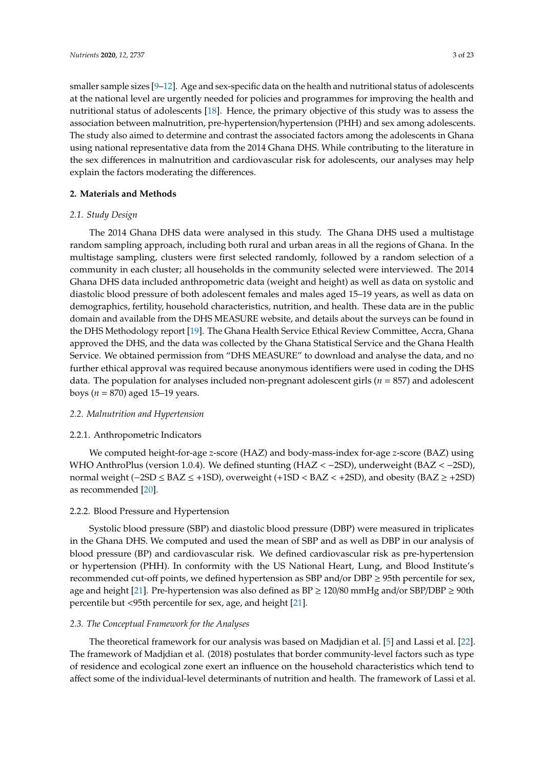smaller sample sizes  $[9-12]$  $[9-12]$ . Age and sex-specific data on the health and nutritional status of adolescents at the national level are urgently needed for policies and programmes for improving the health and nutritional status of adolescents [\[18\]](#page-20-14). Hence, the primary objective of this study was to assess the association between malnutrition, pre-hypertension/hypertension (PHH) and sex among adolescents. The study also aimed to determine and contrast the associated factors among the adolescents in Ghana using national representative data from the 2014 Ghana DHS. While contributing to the literature in the sex differences in malnutrition and cardiovascular risk for adolescents, our analyses may help explain the factors moderating the differences.

#### **2. Materials and Methods**

#### *2.1. Study Design*

The 2014 Ghana DHS data were analysed in this study. The Ghana DHS used a multistage random sampling approach, including both rural and urban areas in all the regions of Ghana. In the multistage sampling, clusters were first selected randomly, followed by a random selection of a community in each cluster; all households in the community selected were interviewed. The 2014 Ghana DHS data included anthropometric data (weight and height) as well as data on systolic and diastolic blood pressure of both adolescent females and males aged 15–19 years, as well as data on demographics, fertility, household characteristics, nutrition, and health. These data are in the public domain and available from the DHS MEASURE website, and details about the surveys can be found in the DHS Methodology report [\[19\]](#page-20-15). The Ghana Health Service Ethical Review Committee, Accra, Ghana approved the DHS, and the data was collected by the Ghana Statistical Service and the Ghana Health Service. We obtained permission from "DHS MEASURE" to download and analyse the data, and no further ethical approval was required because anonymous identifiers were used in coding the DHS data. The population for analyses included non-pregnant adolescent girls (*n* = 857) and adolescent boys (*n* = 870) aged 15–19 years.

#### *2.2. Malnutrition and Hypertension*

#### 2.2.1. Anthropometric Indicators

We computed height-for-age *z*-score (HAZ) and body-mass-index for-age *z*-score (BAZ) using WHO AnthroPlus (version 1.0.4). We defined stunting (HAZ < −2SD), underweight (BAZ < −2SD), normal weight (−2SD ≤ BAZ ≤ +1SD), overweight (+1SD < BAZ < +2SD), and obesity (BAZ ≥ +2SD) as recommended [\[20\]](#page-20-16).

#### 2.2.2. Blood Pressure and Hypertension

Systolic blood pressure (SBP) and diastolic blood pressure (DBP) were measured in triplicates in the Ghana DHS. We computed and used the mean of SBP and as well as DBP in our analysis of blood pressure (BP) and cardiovascular risk. We defined cardiovascular risk as pre-hypertension or hypertension (PHH). In conformity with the US National Heart, Lung, and Blood Institute's recommended cut-off points, we defined hypertension as SBP and/or DBP ≥ 95th percentile for sex, age and height [\[21\]](#page-20-17). Pre-hypertension was also defined as  $BP \ge 120/80$  mmHg and/or SBP/DBP  $\ge 90$ th percentile but <95th percentile for sex, age, and height [\[21\]](#page-20-17).

#### *2.3. The Conceptual Framework for the Analyses*

The theoretical framework for our analysis was based on Madjdian et al. [\[5\]](#page-20-2) and Lassi et al. [\[22\]](#page-20-18). The framework of Madjdian et al. (2018) postulates that border community-level factors such as type of residence and ecological zone exert an influence on the household characteristics which tend to affect some of the individual-level determinants of nutrition and health. The framework of Lassi et al.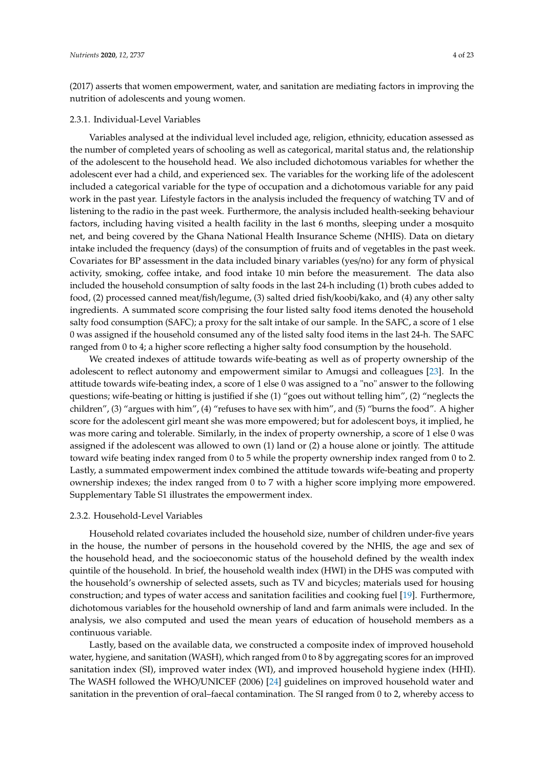(2017) asserts that women empowerment, water, and sanitation are mediating factors in improving the nutrition of adolescents and young women.

#### 2.3.1. Individual-Level Variables

Variables analysed at the individual level included age, religion, ethnicity, education assessed as the number of completed years of schooling as well as categorical, marital status and, the relationship of the adolescent to the household head. We also included dichotomous variables for whether the adolescent ever had a child, and experienced sex. The variables for the working life of the adolescent included a categorical variable for the type of occupation and a dichotomous variable for any paid work in the past year. Lifestyle factors in the analysis included the frequency of watching TV and of listening to the radio in the past week. Furthermore, the analysis included health-seeking behaviour factors, including having visited a health facility in the last 6 months, sleeping under a mosquito net, and being covered by the Ghana National Health Insurance Scheme (NHIS). Data on dietary intake included the frequency (days) of the consumption of fruits and of vegetables in the past week. Covariates for BP assessment in the data included binary variables (yes/no) for any form of physical activity, smoking, coffee intake, and food intake 10 min before the measurement. The data also included the household consumption of salty foods in the last 24-h including (1) broth cubes added to food, (2) processed canned meat/fish/legume, (3) salted dried fish/koobi/kako, and (4) any other salty ingredients. A summated score comprising the four listed salty food items denoted the household salty food consumption (SAFC); a proxy for the salt intake of our sample. In the SAFC, a score of 1 else 0 was assigned if the household consumed any of the listed salty food items in the last 24-h. The SAFC ranged from 0 to 4; a higher score reflecting a higher salty food consumption by the household.

We created indexes of attitude towards wife-beating as well as of property ownership of the adolescent to reflect autonomy and empowerment similar to Amugsi and colleagues [\[23\]](#page-20-19). In the attitude towards wife-beating index, a score of 1 else 0 was assigned to a "no" answer to the following questions; wife-beating or hitting is justified if she (1) "goes out without telling him", (2) "neglects the children", (3) "argues with him", (4) "refuses to have sex with him", and (5) "burns the food". A higher score for the adolescent girl meant she was more empowered; but for adolescent boys, it implied, he was more caring and tolerable. Similarly, in the index of property ownership, a score of 1 else 0 was assigned if the adolescent was allowed to own (1) land or (2) a house alone or jointly. The attitude toward wife beating index ranged from 0 to 5 while the property ownership index ranged from 0 to 2. Lastly, a summated empowerment index combined the attitude towards wife-beating and property ownership indexes; the index ranged from 0 to 7 with a higher score implying more empowered. Supplementary Table S1 illustrates the empowerment index.

#### 2.3.2. Household-Level Variables

Household related covariates included the household size, number of children under-five years in the house, the number of persons in the household covered by the NHIS, the age and sex of the household head, and the socioeconomic status of the household defined by the wealth index quintile of the household. In brief, the household wealth index (HWI) in the DHS was computed with the household's ownership of selected assets, such as TV and bicycles; materials used for housing construction; and types of water access and sanitation facilities and cooking fuel [\[19\]](#page-20-15). Furthermore, dichotomous variables for the household ownership of land and farm animals were included. In the analysis, we also computed and used the mean years of education of household members as a continuous variable.

Lastly, based on the available data, we constructed a composite index of improved household water, hygiene, and sanitation (WASH), which ranged from 0 to 8 by aggregating scores for an improved sanitation index (SI), improved water index (WI), and improved household hygiene index (HHI). The WASH followed the WHO/UNICEF (2006) [\[24\]](#page-21-0) guidelines on improved household water and sanitation in the prevention of oral–faecal contamination. The SI ranged from 0 to 2, whereby access to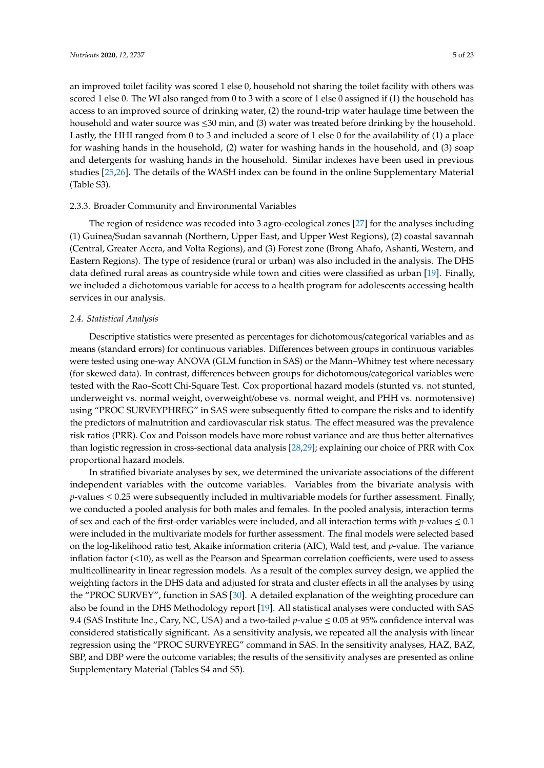an improved toilet facility was scored 1 else 0, household not sharing the toilet facility with others was scored 1 else 0. The WI also ranged from 0 to 3 with a score of 1 else 0 assigned if (1) the household has access to an improved source of drinking water, (2) the round-trip water haulage time between the household and water source was ≤30 min, and (3) water was treated before drinking by the household. Lastly, the HHI ranged from 0 to 3 and included a score of 1 else 0 for the availability of (1) a place for washing hands in the household, (2) water for washing hands in the household, and (3) soap and detergents for washing hands in the household. Similar indexes have been used in previous studies [\[25,](#page-21-1)[26\]](#page-21-2). The details of the WASH index can be found in the online Supplementary Material (Table S3).

#### 2.3.3. Broader Community and Environmental Variables

The region of residence was recoded into 3 agro-ecological zones [\[27\]](#page-21-3) for the analyses including (1) Guinea/Sudan savannah (Northern, Upper East, and Upper West Regions), (2) coastal savannah (Central, Greater Accra, and Volta Regions), and (3) Forest zone (Brong Ahafo, Ashanti, Western, and Eastern Regions). The type of residence (rural or urban) was also included in the analysis. The DHS data defined rural areas as countryside while town and cities were classified as urban [\[19\]](#page-20-15). Finally, we included a dichotomous variable for access to a health program for adolescents accessing health services in our analysis.

#### *2.4. Statistical Analysis*

Descriptive statistics were presented as percentages for dichotomous/categorical variables and as means (standard errors) for continuous variables. Differences between groups in continuous variables were tested using one-way ANOVA (GLM function in SAS) or the Mann–Whitney test where necessary (for skewed data). In contrast, differences between groups for dichotomous/categorical variables were tested with the Rao–Scott Chi-Square Test. Cox proportional hazard models (stunted vs. not stunted, underweight vs. normal weight, overweight/obese vs. normal weight, and PHH vs. normotensive) using "PROC SURVEYPHREG" in SAS were subsequently fitted to compare the risks and to identify the predictors of malnutrition and cardiovascular risk status. The effect measured was the prevalence risk ratios (PRR). Cox and Poisson models have more robust variance and are thus better alternatives than logistic regression in cross-sectional data analysis [\[28,](#page-21-4)[29\]](#page-21-5); explaining our choice of PRR with Cox proportional hazard models.

In stratified bivariate analyses by sex, we determined the univariate associations of the different independent variables with the outcome variables. Variables from the bivariate analysis with  $p$ -values  $\leq$  0.25 were subsequently included in multivariable models for further assessment. Finally, we conducted a pooled analysis for both males and females. In the pooled analysis, interaction terms of sex and each of the first-order variables were included, and all interaction terms with  $p$ -values  $\leq 0.1$ were included in the multivariate models for further assessment. The final models were selected based on the log-likelihood ratio test, Akaike information criteria (AIC), Wald test, and *p*-value. The variance inflation factor (<10), as well as the Pearson and Spearman correlation coefficients, were used to assess multicollinearity in linear regression models. As a result of the complex survey design, we applied the weighting factors in the DHS data and adjusted for strata and cluster effects in all the analyses by using the "PROC SURVEY", function in SAS [\[30\]](#page-21-6). A detailed explanation of the weighting procedure can also be found in the DHS Methodology report [\[19\]](#page-20-15). All statistical analyses were conducted with SAS 9.4 (SAS Institute Inc., Cary, NC, USA) and a two-tailed *p*-value ≤ 0.05 at 95% confidence interval was considered statistically significant. As a sensitivity analysis, we repeated all the analysis with linear regression using the "PROC SURVEYREG" command in SAS. In the sensitivity analyses, HAZ, BAZ, SBP, and DBP were the outcome variables; the results of the sensitivity analyses are presented as online Supplementary Material (Tables S4 and S5).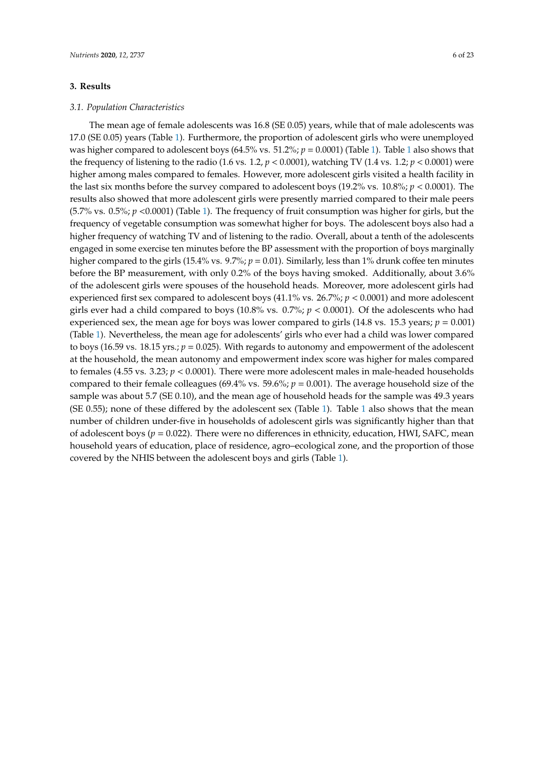#### **3. Results**

#### *3.1. Population Characteristics*

The mean age of female adolescents was 16.8 (SE 0.05) years, while that of male adolescents was 17.0 (SE 0.05) years (Table [1\)](#page-6-0). Furthermore, the proportion of adolescent girls who were unemployed was higher compared to adolescent boys (64.5% vs. 5[1](#page-6-0).2%;  $p = 0.0001$ ) (Table [1\)](#page-6-0). Table 1 also shows that the frequency of listening to the radio (1.6 vs. 1.2,  $p < 0.0001$ ), watching TV (1.4 vs. 1.2;  $p < 0.0001$ ) were higher among males compared to females. However, more adolescent girls visited a health facility in the last six months before the survey compared to adolescent boys (19.2% vs. 10.8%; *p* < 0.0001). The results also showed that more adolescent girls were presently married compared to their male peers (5.7% vs. 0.5%; *p* <0.0001) (Table [1\)](#page-6-0). The frequency of fruit consumption was higher for girls, but the frequency of vegetable consumption was somewhat higher for boys. The adolescent boys also had a higher frequency of watching TV and of listening to the radio. Overall, about a tenth of the adolescents engaged in some exercise ten minutes before the BP assessment with the proportion of boys marginally higher compared to the girls (15.4% vs. 9.7%;  $p = 0.01$ ). Similarly, less than 1% drunk coffee ten minutes before the BP measurement, with only 0.2% of the boys having smoked. Additionally, about 3.6% of the adolescent girls were spouses of the household heads. Moreover, more adolescent girls had experienced first sex compared to adolescent boys (41.1% vs. 26.7%; *p* < 0.0001) and more adolescent girls ever had a child compared to boys (10.8% vs. 0.7%; *p* < 0.0001). Of the adolescents who had experienced sex, the mean age for boys was lower compared to girls  $(14.8 \text{ vs. } 15.3 \text{ years}; p = 0.001)$ (Table [1\)](#page-6-0). Nevertheless, the mean age for adolescents' girls who ever had a child was lower compared to boys (16.59 vs. 18.15 yrs.; *p* = 0.025). With regards to autonomy and empowerment of the adolescent at the household, the mean autonomy and empowerment index score was higher for males compared to females (4.55 vs. 3.23;  $p < 0.0001$ ). There were more adolescent males in male-headed households compared to their female colleagues (69.4% vs. 59.6%; *p* = 0.001). The average household size of the sample was about 5.7 (SE 0.10), and the mean age of household heads for the sample was 49.3 years (SE 0.55); none of these differed by the adolescent sex (Table [1\)](#page-6-0). Table [1](#page-6-0) also shows that the mean number of children under-five in households of adolescent girls was significantly higher than that of adolescent boys (*p* = 0.022). There were no differences in ethnicity, education, HWI, SAFC, mean household years of education, place of residence, agro–ecological zone, and the proportion of those covered by the NHIS between the adolescent boys and girls (Table [1\)](#page-6-0).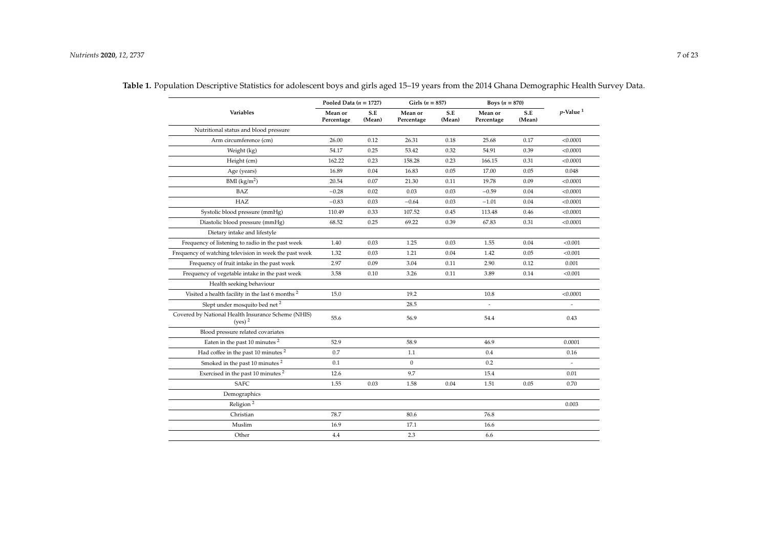|                                                                 | Pooled Data $(n = 1727)$ |               | Girls $(n = 857)$     |               | Boys $(n = 870)$      |               |                         |  |
|-----------------------------------------------------------------|--------------------------|---------------|-----------------------|---------------|-----------------------|---------------|-------------------------|--|
| <b>Variables</b>                                                | Mean or<br>Percentage    | S.E<br>(Mean) | Mean or<br>Percentage | S.E<br>(Mean) | Mean or<br>Percentage | S.E<br>(Mean) | $p$ -Value <sup>1</sup> |  |
| Nutritional status and blood pressure                           |                          |               |                       |               |                       |               |                         |  |
| Arm circumference (cm)                                          | 26.00                    | 0.12          | 26.31                 | 0.18          | 25.68                 | 0.17          | < 0.0001                |  |
| Weight (kg)                                                     | 54.17                    | 0.25          | 53.42                 | 0.32          | 54.91                 | 0.39          | < 0.0001                |  |
| Height (cm)                                                     | 162.22                   | 0.23          | 158.28                | 0.23          | 166.15                | 0.31          | < 0.0001                |  |
| Age (years)                                                     | 16.89                    | 0.04          | 16.83                 | 0.05          | 17.00                 | 0.05          | 0.048                   |  |
| $BMI$ (kg/m <sup>2</sup> )                                      | 20.54                    | 0.07          | 21.30                 | 0.11          | 19.78                 | 0.09          | < 0.0001                |  |
| BAZ                                                             | $-0.28$                  | 0.02          | 0.03                  | 0.03          | $-0.59$               | 0.04          | < 0.0001                |  |
| HAZ                                                             | $-0.83$                  | 0.03          | $-0.64$               | 0.03          | $-1.01$               | 0.04          | < 0.0001                |  |
| Systolic blood pressure (mmHg)                                  | 110.49                   | 0.33          | 107.52                | 0.45          | 113.48                | 0.46          | < 0.0001                |  |
| Diastolic blood pressure (mmHg)                                 | 68.52                    | 0.25          | 69.22                 | 0.39          | 67.83                 | 0.31          | < 0.0001                |  |
| Dietary intake and lifestyle                                    |                          |               |                       |               |                       |               |                         |  |
| Frequency of listening to radio in the past week                | 1.40                     | 0.03          | 1.25                  | 0.03          | 1.55                  | 0.04          | < 0.001                 |  |
| Frequency of watching television in week the past week          | 1.32                     | 0.03          | 1.21                  | 0.04          | 1.42                  | 0.05          | < 0.001                 |  |
| Frequency of fruit intake in the past week                      | 2.97                     | 0.09          | 3.04                  | 0.11          | 2.90                  | 0.12          | 0.001                   |  |
| Frequency of vegetable intake in the past week                  | 3.58                     | 0.10          | 3.26                  | 0.11          | 3.89                  | 0.14          | < 0.001                 |  |
| Health seeking behaviour                                        |                          |               |                       |               |                       |               |                         |  |
| Visited a health facility in the last 6 months <sup>2</sup>     | 15.0                     |               | 19.2                  |               | 10.8                  |               | < 0.0001                |  |
| Slept under mosquito bed net <sup>2</sup>                       |                          |               | 28.5                  |               |                       |               |                         |  |
| Covered by National Health Insurance Scheme (NHIS)<br>$(ves)^2$ | 55.6                     |               | 56.9                  |               | 54.4                  |               | 0.43                    |  |
| Blood pressure related covariates                               |                          |               |                       |               |                       |               |                         |  |
| Eaten in the past 10 minutes <sup>2</sup>                       | 52.9                     |               | 58.9                  |               | 46.9                  |               | 0.0001                  |  |
| Had coffee in the past 10 minutes <sup>2</sup>                  | 0.7                      |               | 1.1                   |               | 0.4                   |               | 0.16                    |  |
| Smoked in the past 10 minutes <sup>2</sup>                      | 0.1                      |               | $\mathbf{0}$          |               | 0.2                   |               |                         |  |
| Exercised in the past 10 minutes $^{\rm 2}$                     | 12.6                     |               | 9.7                   |               | 15.4                  |               | 0.01                    |  |
| <b>SAFC</b>                                                     | 1.55                     | 0.03          | 1.58                  | 0.04          | 1.51                  | 0.05          | 0.70                    |  |
| Demographics                                                    |                          |               |                       |               |                       |               |                         |  |
| Religion <sup>2</sup>                                           |                          |               |                       |               |                       |               | 0.003                   |  |
| Christian                                                       | 78.7                     |               | 80.6                  |               | 76.8                  |               |                         |  |
| Muslim                                                          | 16.9                     |               | 17.1                  |               | 16.6                  |               |                         |  |
| Other                                                           | 4.4                      |               | 2.3                   |               | 6.6                   |               |                         |  |

<span id="page-6-0"></span>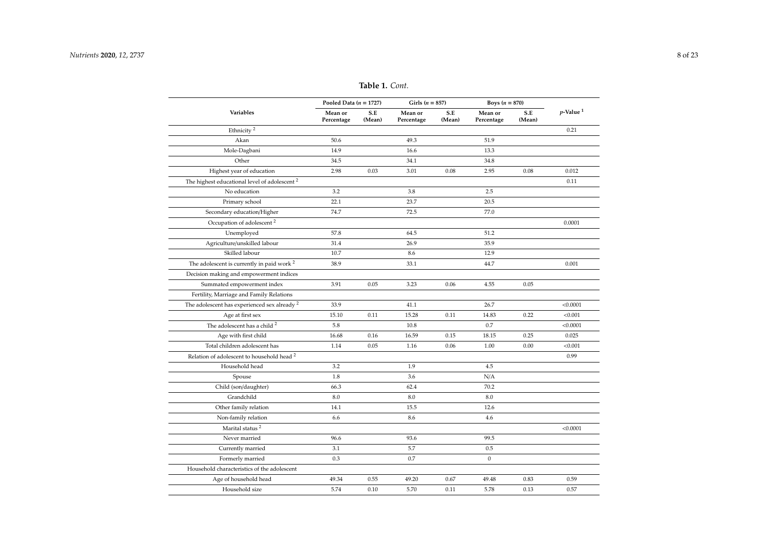|                                                          | Pooled Data $(n = 1727)$ |               | Girls ( $n = 857$ )   |               | Boys $(n = 870)$      |               |                         |
|----------------------------------------------------------|--------------------------|---------------|-----------------------|---------------|-----------------------|---------------|-------------------------|
| Variables                                                | Mean or<br>Percentage    | S.E<br>(Mean) | Mean or<br>Percentage | S.E<br>(Mean) | Mean or<br>Percentage | S.E<br>(Mean) | $p$ -Value <sup>1</sup> |
| Ethnicity <sup>2</sup>                                   |                          |               |                       |               |                       |               | 0.21                    |
| Akan                                                     | 50.6                     |               | 49.3                  |               | 51.9                  |               |                         |
| Mole-Dagbani                                             | 14.9                     |               | 16.6                  |               | 13.3                  |               |                         |
| Other                                                    | 34.5                     |               | 34.1                  |               | 34.8                  |               |                         |
| Highest year of education                                | 2.98                     | 0.03          | 3.01                  | 0.08          | 2.95                  | 0.08          | 0.012                   |
| The highest educational level of adolescent <sup>2</sup> |                          |               |                       |               |                       |               | 0.11                    |
| No education                                             | 3.2                      |               | 3.8                   |               | 2.5                   |               |                         |
| Primary school                                           | 22.1                     |               | 23.7                  |               | 20.5                  |               |                         |
| Secondary education/Higher                               | 74.7                     |               | 72.5                  |               | 77.0                  |               |                         |
| Occupation of adolescent <sup>2</sup>                    |                          |               |                       |               |                       |               | 0.0001                  |
| Unemployed                                               | 57.8                     |               | 64.5                  |               | 51.2                  |               |                         |
| Agriculture/unskilled labour                             | 31.4                     |               | 26.9                  |               | 35.9                  |               |                         |
| Skilled labour                                           | 10.7                     |               | 8.6                   |               | 12.9                  |               |                         |
| The adolescent is currently in paid work <sup>2</sup>    | 38.9                     |               | 33.1                  |               | 44.7                  |               | 0.001                   |
| Decision making and empowerment indices                  |                          |               |                       |               |                       |               |                         |
| Summated empowerment index                               | 3.91                     | 0.05          | 3.23                  | 0.06          | 4.55                  | 0.05          |                         |
| Fertility, Marriage and Family Relations                 |                          |               |                       |               |                       |               |                         |
| The adolescent has experienced sex already $^2$          | 33.9                     |               | 41.1                  |               | 26.7                  |               | < 0.0001                |
| Age at first sex                                         | 15.10                    | 0.11          | 15.28                 | 0.11          | 14.83                 | 0.22          | < 0.001                 |
| The adolescent has a child <sup>2</sup>                  | 5.8                      |               | 10.8                  |               | 0.7                   |               | < 0.0001                |
| Age with first child                                     | 16.68                    | 0.16          | 16.59                 | 0.15          | 18.15                 | 0.25          | 0.025                   |
| Total children adolescent has                            | 1.14                     | 0.05          | 1.16                  | 0.06          | 1.00                  | 0.00          | < 0.001                 |
| Relation of adolescent to household head <sup>2</sup>    |                          |               |                       |               |                       |               | 0.99                    |
| Household head                                           | 3.2                      |               | 1.9                   |               | 4.5                   |               |                         |
| Spouse                                                   | 1.8                      |               | 3.6                   |               | N/A                   |               |                         |
| Child (son/daughter)                                     | 66.3                     |               | 62.4                  |               | 70.2                  |               |                         |
| Grandchild                                               | 8.0                      |               | 8.0                   |               | 8.0                   |               |                         |
| Other family relation                                    | 14.1                     |               | 15.5                  |               | 12.6                  |               |                         |
| Non-family relation                                      | 6.6                      |               | 8.6                   |               | 4.6                   |               |                         |
| Marital status <sup>2</sup>                              |                          |               |                       |               |                       |               | < 0.0001                |
| Never married                                            | 96.6                     |               | 93.6                  |               | 99.5                  |               |                         |
| Currently married                                        | 3.1                      |               | 5.7                   |               | 0.5                   |               |                         |
| Formerly married                                         | 0.3                      |               | 0.7                   |               | $\boldsymbol{0}$      |               |                         |
| Household characteristics of the adolescent              |                          |               |                       |               |                       |               |                         |
| Age of household head                                    | 49.34                    | 0.55          | 49.20                 | 0.67          | 49.48                 | 0.83          | 0.59                    |
| Household size                                           | 5.74                     | 0.10          | 5.70                  | 0.11          | 5.78                  | 0.13          | 0.57                    |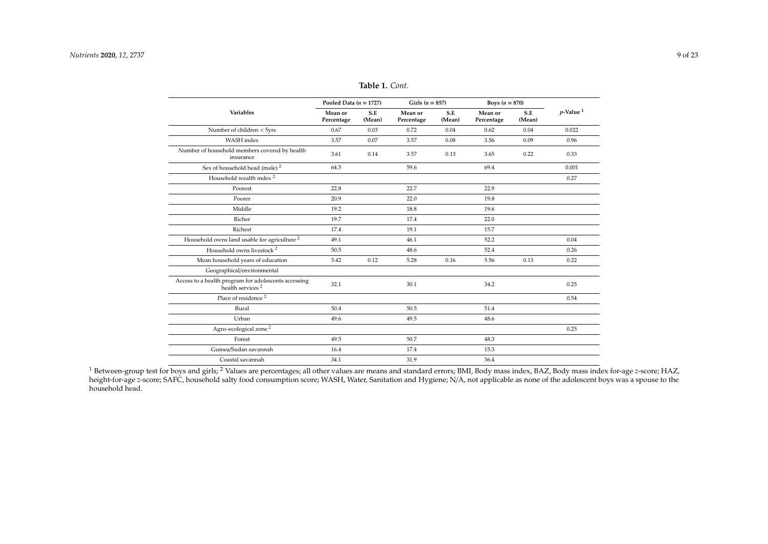| Table 1. Cont. |  |  |
|----------------|--|--|
|----------------|--|--|

|                                                                                      | Pooled Data $(n = 1727)$ |               | Girls $(n = 857)$     |               | Boys $(n = 870)$      |               |                         |
|--------------------------------------------------------------------------------------|--------------------------|---------------|-----------------------|---------------|-----------------------|---------------|-------------------------|
| Variables                                                                            | Mean or<br>Percentage    | S.E<br>(Mean) | Mean or<br>Percentage | S.E<br>(Mean) | Mean or<br>Percentage | S.E<br>(Mean) | $p$ -Value <sup>1</sup> |
| Number of children < 5yrs                                                            | 0.67                     | 0.03          | 0.72                  | 0.04          | 0.62                  | 0.04          | 0.022                   |
| <b>WASH</b> index                                                                    | 3.57                     | 0.07          | 3.57                  | 0.08          | 3.56                  | 0.09          | 0.96                    |
| Number of household members covered by health<br>insurance                           | 3.61                     | 0.14          | 3.57                  | 0.13          | 3.65                  | 0.22          | 0.33                    |
| Sex of household head (male) <sup>2</sup>                                            | 64.5                     |               | 59.6                  |               | 69.4                  |               | 0.001                   |
| Household wealth index <sup>2</sup>                                                  |                          |               |                       |               |                       |               | 0.27                    |
| Poorest                                                                              | 22.8                     |               | 22.7                  |               | 22.9                  |               |                         |
| Poorer                                                                               | 20.9                     |               | 22.0                  |               | 19.8                  |               |                         |
| Middle                                                                               | 19.2                     |               | 18.8                  |               | 19.6                  |               |                         |
| Richer                                                                               | 19.7                     |               | 17.4                  |               | 22.0                  |               |                         |
| Richest                                                                              | 17.4                     |               | 19.1                  |               | 15.7                  |               |                         |
| Household owns land usable for agriculture <sup>2</sup>                              | 49.1                     |               | 46.1                  |               | 52.2                  |               | 0.04                    |
| Household owns livestock <sup>2</sup>                                                | 50.5                     |               | 48.6                  |               | 52.4                  |               | 0.26                    |
| Mean household years of education                                                    | 5.42                     | 0.12          | 5.28                  | 0.16          | 5.56                  | 0.13          | 0.22                    |
| Geographical/environmental                                                           |                          |               |                       |               |                       |               |                         |
| Access to a health program for adolescents accessing<br>health services <sup>2</sup> | 32.1                     |               | 30.1                  |               | 34.2                  |               | 0.25                    |
| Place of residence <sup>2</sup>                                                      |                          |               |                       |               |                       |               | 0.54                    |
| Rural                                                                                | 50.4                     |               | 50.5                  |               | 51.4                  |               |                         |
| Urban                                                                                | 49.6                     |               | 49.5                  |               | 48.6                  |               |                         |
| Agro-ecological zone <sup>2</sup>                                                    |                          |               |                       |               |                       |               | 0.25                    |
| Forest                                                                               | 49.5                     |               | 50.7                  |               | 48.3                  |               |                         |
| Guinea/Sudan savannah                                                                | 16.4                     |               | 17.4                  |               | 15.3                  |               |                         |
| Coastal savannah                                                                     | 34.1                     |               | 31.9                  |               | 36.4                  |               |                         |

<sup>1</sup> Between-group test for boys and girls; <sup>2</sup> Values are percentages; all other values are means and standard errors; BMI, Body mass index, BAZ, Body mass index for-age *z*-score; HAZ, height-for-age *z*-score; SAFC, household salty food consumption score; WASH, Water, Sanitation and Hygiene; N/A, not applicable as none of the adolescent boys was a spouse to the household head.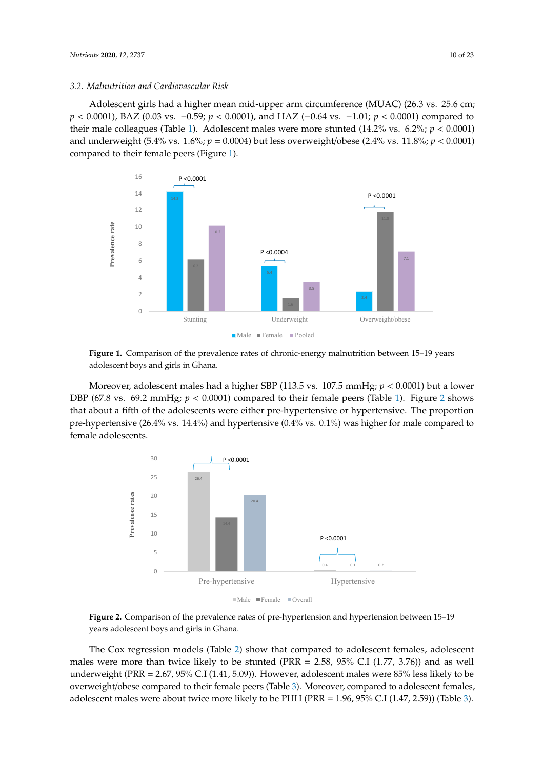## *3.2. Malnutrition and Cardiovascular Risk 3.2. Malnutrition and Cardiovascular Risk*

Adolescent girls had a higher mean mid-upper arm circumference (MUAC) (26.3 vs. 25.6 cm;  $p < 0.0001$ ), BAZ (0.03 vs. -0.59;  $p < 0.0001$ ), and HAZ (-0.64 vs. -1.01;  $p < 0.0001$ ) compared to their male colleagues (Table [1\)](#page-6-0). Adolescent males were more stunted (14.2% vs. 6.2%;  $p < 0.0001$ ) and underweight (5.4% vs. 1.6%;  $p = 0.0004$ ) but less overweight/obese (2.4% vs. 11.8%;  $p < 0.0001$ ) compared to their female peers (Figur[e 1](#page-9-0)).

<span id="page-9-0"></span>

adolescent boys and girls in Ghana. adolescent boys and girls in Ghana. **Figure 1.** Comparison of the prevalence rates of chronic-energy malnutrition between 15–19 years **Figure 1.** Comparison of the prevalence rates of chronic-energy malnutrition between 15–19 years

DBP (67.8 vs. 69.2 mmHg;  $p < 0.0001$ ) compared to their female peers (Table 1). Fig[ur](#page-6-0)e 2 shows that about a fifth of the adolescents were either pre-hypertensive or hypertensive. The proportion about a fifth of the adolescents were either pre-hypertensive or  $\frac{10}{2}$  and  $\frac{10}{2}$  and  $\frac{10}{2}$  and  $\frac{10}{2}$  and  $\frac{10}{2}$  and  $\frac{10}{2}$  are  $\frac{10}{2}$  and  $\frac{10}{2}$  and  $\frac{10}{2}$  and  $\frac{10}{2}$  and  $\frac{10$ pre-hypertensive (26.4% vs. 14.4%) and hypertensive (0.4% vs. 0.1%) was higher for male compared to female adolescents. female adolescents. female adolescents. Moreover, adolescent males had a higher SBP (113.5 vs. 107.5 mmHg; *p* < 0.0001) but a lower Moreover, adolescent males had a higher SBP (113.5 vs. 107.5 mmHg; *p* < 0.0001) but a lower

<span id="page-9-1"></span>

Figure 2. Comparison of the prevalence rates of pre-hypertension and hypertension between 15–19 years adolescent boys and girls in Ghana. **And hypertension between 15–19 years** adolescent boys and girls in Ghana.

The Cox regression models (Table [2\)](#page-10-0) show that compared to adolescent females, adolescent males were more than twice likely to be stunted (PRR = 2.58, 95% C.I (1.77, 3.76)) and as well underweight (PRR = 2.67, 95% C.I (1.41, 5.09)). However, adolescent males were 85% less likely to be overweight/obese compared to their female peers (Table [3\)](#page-12-0). Moreover, compared to adolescent females, adolescent males were about twice more likely to be PHH (PRR = 1.96, 95% C.I (1.47, 2.59)) (Table [3\)](#page-12-0).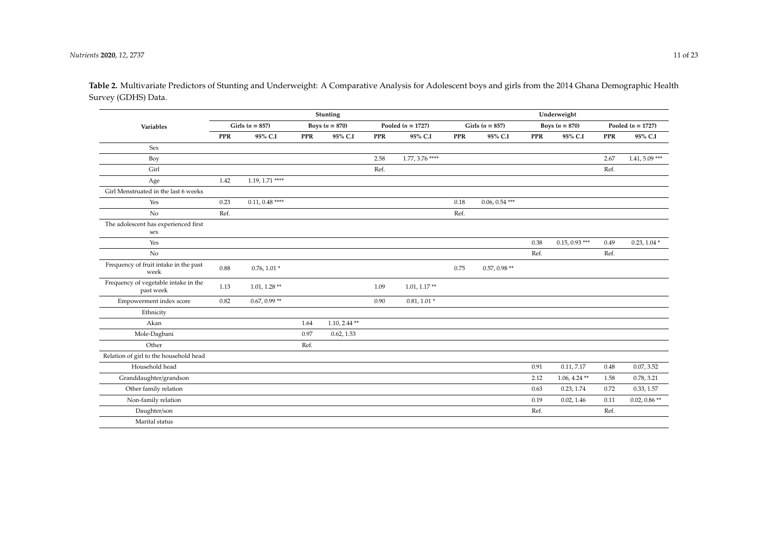<span id="page-10-0"></span>

|                                                   |            |                     |            | <b>Stunting</b>  |            |                     |            |                     |            | Underweight      |            |                     |
|---------------------------------------------------|------------|---------------------|------------|------------------|------------|---------------------|------------|---------------------|------------|------------------|------------|---------------------|
| Variables                                         |            | Girls ( $n = 857$ ) |            | Boys $(n = 870)$ |            | Pooled $(n = 1727)$ |            | Girls ( $n = 857$ ) |            | Boys $(n = 870)$ |            | Pooled $(n = 1727)$ |
|                                                   | <b>PPR</b> | 95% C.I             | <b>PPR</b> | 95% C.I          | <b>PPR</b> | 95% C.I             | <b>PPR</b> | 95% C.I             | <b>PPR</b> | 95% C.I          | <b>PPR</b> | 95% C.I             |
| Sex                                               |            |                     |            |                  |            |                     |            |                     |            |                  |            |                     |
| Boy                                               |            |                     |            |                  | 2.58       | $1.77, 3.76$ ****   |            |                     |            |                  | 2.67       | $1.41, 5.09$ ***    |
| Girl                                              |            |                     |            |                  | Ref.       |                     |            |                     |            |                  | Ref.       |                     |
| Age                                               | 1.42       | $1.19, 1.71$ ****   |            |                  |            |                     |            |                     |            |                  |            |                     |
| Girl Menstruated in the last 6 weeks              |            |                     |            |                  |            |                     |            |                     |            |                  |            |                     |
| Yes                                               | 0.23       | $0.11, 0.48$ ****   |            |                  |            |                     | 0.18       | $0.06, 0.54$ ***    |            |                  |            |                     |
| No                                                | Ref.       |                     |            |                  |            |                     | Ref.       |                     |            |                  |            |                     |
| The adolescent has experienced first<br>sex       |            |                     |            |                  |            |                     |            |                     |            |                  |            |                     |
| Yes                                               |            |                     |            |                  |            |                     |            |                     | 0.38       | $0.15, 0.93$ *** | 0.49       | $0.23, 1.04*$       |
| No                                                |            |                     |            |                  |            |                     |            |                     | Ref.       |                  | Ref.       |                     |
| Frequency of fruit intake in the past<br>week     | 0.88       | $0.76, 1.01*$       |            |                  |            |                     | 0.75       | $0.57, 0.98**$      |            |                  |            |                     |
| Frequency of vegetable intake in the<br>past week | 1.13       | $1.01, 1.28$ **     |            |                  | 1.09       | $1.01, 1.17**$      |            |                     |            |                  |            |                     |
| Empowerment index score                           | 0.82       | $0.67, 0.99**$      |            |                  | 0.90       | $0.81, 1.01*$       |            |                     |            |                  |            |                     |
| Ethnicity                                         |            |                     |            |                  |            |                     |            |                     |            |                  |            |                     |
| Akan                                              |            |                     | 1.64       | $1.10, 2.44$ **  |            |                     |            |                     |            |                  |            |                     |
| Mole-Dagbani                                      |            |                     | 0.97       | 0.62, 1.53       |            |                     |            |                     |            |                  |            |                     |
| Other                                             |            |                     | Ref.       |                  |            |                     |            |                     |            |                  |            |                     |
| Relation of girl to the household head            |            |                     |            |                  |            |                     |            |                     |            |                  |            |                     |
| Household head                                    |            |                     |            |                  |            |                     |            |                     | 0.91       | 0.11, 7.17       | 0.48       | 0.07, 3.52          |
| Granddaughter/grandson                            |            |                     |            |                  |            |                     |            |                     | 2.12       | $1.06, 4.24$ **  | 1.58       | 0.78, 3.21          |
| Other family relation                             |            |                     |            |                  |            |                     |            |                     | 0.63       | 0.23, 1.74       | 0.72       | 0.33, 1.57          |
| Non-family relation                               |            |                     |            |                  |            |                     |            |                     | 0.19       | 0.02, 1.46       | 0.11       | $0.02, 0.86**$      |
| Daughter/son                                      |            |                     |            |                  |            |                     |            |                     | Ref.       |                  | Ref.       |                     |
| Marital status                                    |            |                     |            |                  |            |                     |            |                     |            |                  |            |                     |

**Table 2.** Multivariate Predictors of Stunting and Underweight: A Comparative Analysis for Adolescent boys and girls from the 2014 Ghana Demographic Health Survey (GDHS) Data.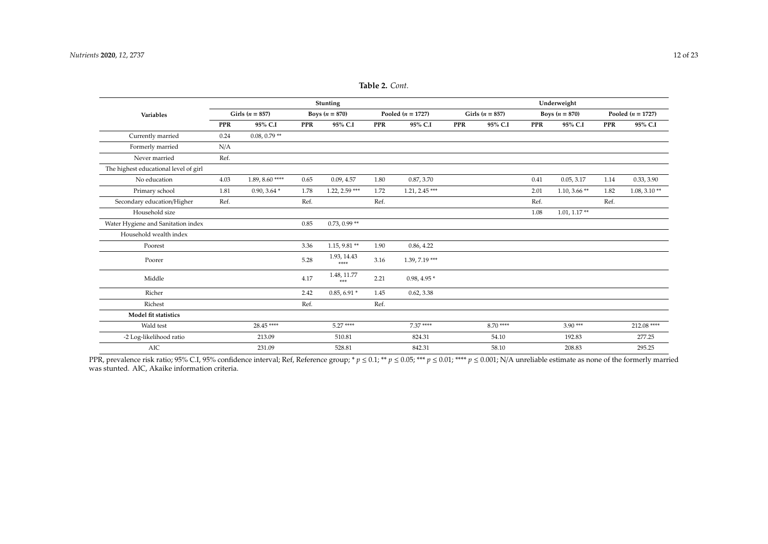|                                       |                     |                   |            | <b>Stunting</b>      |            |                     |            |                     |                  | Underweight    |            |                     |
|---------------------------------------|---------------------|-------------------|------------|----------------------|------------|---------------------|------------|---------------------|------------------|----------------|------------|---------------------|
| Variables                             | Girls ( $n = 857$ ) |                   |            | Boys $(n = 870)$     |            | Pooled $(n = 1727)$ |            | Girls ( $n = 857$ ) | Boys $(n = 870)$ |                |            | Pooled $(n = 1727)$ |
|                                       | <b>PPR</b>          | 95% C.I           | <b>PPR</b> | 95% C.I              | <b>PPR</b> | 95% C.I             | <b>PPR</b> | 95% C.I             | <b>PPR</b>       | 95% C.I        | <b>PPR</b> | 95% C.I             |
| Currently married                     | 0.24                | $0.08, 0.79**$    |            |                      |            |                     |            |                     |                  |                |            |                     |
| Formerly married                      | N/A                 |                   |            |                      |            |                     |            |                     |                  |                |            |                     |
| Never married                         | Ref.                |                   |            |                      |            |                     |            |                     |                  |                |            |                     |
| The highest educational level of girl |                     |                   |            |                      |            |                     |            |                     |                  |                |            |                     |
| No education                          | 4.03                | $1.89, 8.60$ **** | 0.65       | 0.09, 4.57           | 1.80       | 0.87, 3.70          |            |                     | 0.41             | 0.05, 3.17     | 1.14       | 0.33, 3.90          |
| Primary school                        | 1.81                | $0.90, 3.64*$     | 1.78       | $1.22, 2.59$ ***     | 1.72       | $1.21, 2.45$ ***    |            |                     | 2.01             | $1.10, 3.66**$ | 1.82       | $1.08, 3.10**$      |
| Secondary education/Higher            | Ref.                |                   | Ref.       |                      | Ref.       |                     |            |                     | Ref.             |                | Ref.       |                     |
| Household size                        |                     |                   |            |                      |            |                     |            |                     | 1.08             | $1.01, 1.17**$ |            |                     |
| Water Hygiene and Sanitation index    |                     |                   | 0.85       | $0.73, 0.99**$       |            |                     |            |                     |                  |                |            |                     |
| Household wealth index                |                     |                   |            |                      |            |                     |            |                     |                  |                |            |                     |
| Poorest                               |                     |                   | 3.36       | $1.15, 9.81**$       | 1.90       | 0.86, 4.22          |            |                     |                  |                |            |                     |
| Poorer                                |                     |                   | 5.28       | 1.93, 14.43<br>****  | 3.16       | 1.39, 7.19 ***      |            |                     |                  |                |            |                     |
| Middle                                |                     |                   | 4.17       | 1.48, 11.77<br>$***$ | 2.21       | $0.98, 4.95*$       |            |                     |                  |                |            |                     |
| Richer                                |                     |                   | 2.42       | $0.85, 6.91*$        | 1.45       | 0.62, 3.38          |            |                     |                  |                |            |                     |
| Richest                               |                     |                   | Ref.       |                      | Ref.       |                     |            |                     |                  |                |            |                     |
| Model fit statistics                  |                     |                   |            |                      |            |                     |            |                     |                  |                |            |                     |
| Wald test                             |                     | 28.45****         |            | $5.27***$            |            | $7.37***$           |            | $8.70***$           |                  | $3.90***$      |            | 212.08 ****         |
| -2 Log-likelihood ratio               |                     | 213.09            |            | 510.81               |            | 824.31              |            | 54.10               |                  | 192.83         |            | 277.25              |
| <b>AIC</b>                            |                     | 231.09            |            | 528.81               |            | 842.31              |            | 58.10               |                  | 208.83         |            | 295.25              |

**Table 2.** *Cont.*

PPR, prevalence risk ratio; 95% C.I, 95% confidence interval; Ref, Reference group; \*  $p ≤ 0.1$ ; \*\*  $p ≤ 0.05$ ; \*\*\*  $p ≤ 0.01$ ; \*\*\*\*  $p ≤ 0.001$ ; N/A unreliable estimate as none of the formerly married was stunted. AIC, Akaike information criteria.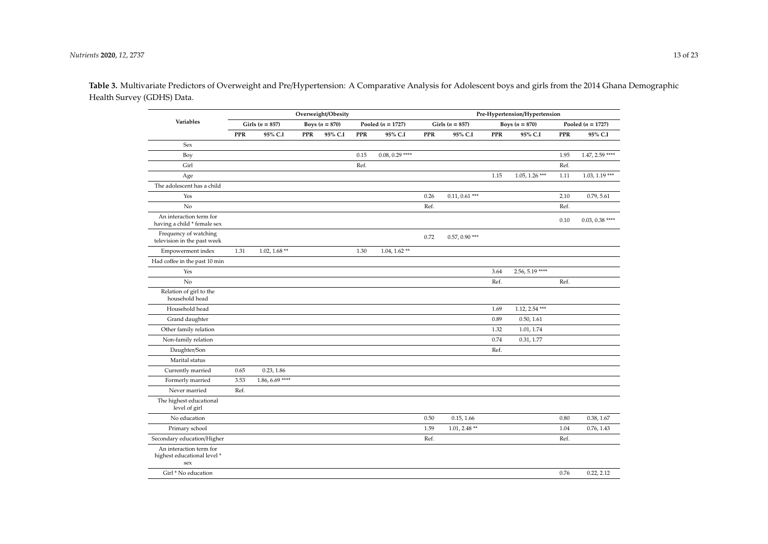**Table 3.** Multivariate Predictors of Overweight and Pre/Hypertension: A Comparative Analysis for Adolescent boys and girls from the 2014 Ghana Demographic Health Survey (GDHS) Data.

<span id="page-12-0"></span>

|                                                               | Overweight/Obesity |                     |            |                  |      | Pre-Hypertension/Hypertension |            |                     |            |                  |            |                     |  |
|---------------------------------------------------------------|--------------------|---------------------|------------|------------------|------|-------------------------------|------------|---------------------|------------|------------------|------------|---------------------|--|
| Variables                                                     |                    | Girls ( $n = 857$ ) |            | Boys $(n = 870)$ |      | Pooled $(n = 1727)$           |            | Girls ( $n = 857$ ) |            | Boys $(n = 870)$ |            | Pooled $(n = 1727)$ |  |
|                                                               | PPR                | 95% C.I             | <b>PPR</b> | 95% C.I          | PPR  | 95% C.I                       | <b>PPR</b> | 95% C.I             | <b>PPR</b> | 95% C.I          | <b>PPR</b> | 95% C.I             |  |
| Sex                                                           |                    |                     |            |                  |      |                               |            |                     |            |                  |            |                     |  |
| Boy                                                           |                    |                     |            |                  | 0.15 | $0.08, 0.29$ ****             |            |                     |            |                  | 1.95       | $1.47, 2.59$ ****   |  |
| Girl                                                          |                    |                     |            |                  | Ref. |                               |            |                     |            |                  | Ref.       |                     |  |
| Age                                                           |                    |                     |            |                  |      |                               |            |                     | 1.15       | $1.05, 1.26$ *** | 1.11       | $1.03, 1.19$ ***    |  |
| The adolescent has a child                                    |                    |                     |            |                  |      |                               |            |                     |            |                  |            |                     |  |
| Yes                                                           |                    |                     |            |                  |      |                               | 0.26       | $0.11, 0.61$ ***    |            |                  | 2.10       | 0.79, 5.61          |  |
| No                                                            |                    |                     |            |                  |      |                               | Ref.       |                     |            |                  | Ref.       |                     |  |
| An interaction term for<br>having a child * female sex        |                    |                     |            |                  |      |                               |            |                     |            |                  | 0.10       | $0.03, 0.38$ ****   |  |
| Frequency of watching<br>television in the past week          |                    |                     |            |                  |      |                               | 0.72       | $0.57, 0.90$ ***    |            |                  |            |                     |  |
| Empowerment index                                             | 1.31               | $1.02, 1.68**$      |            |                  | 1.30 | $1.04, 1.62$ **               |            |                     |            |                  |            |                     |  |
| Had coffee in the past 10 min                                 |                    |                     |            |                  |      |                               |            |                     |            |                  |            |                     |  |
| Yes                                                           |                    |                     |            |                  |      |                               |            |                     | 3.64       | $2.56, 5.19***$  |            |                     |  |
| No                                                            |                    |                     |            |                  |      |                               |            |                     | Ref.       |                  | Ref.       |                     |  |
| Relation of girl to the<br>household head                     |                    |                     |            |                  |      |                               |            |                     |            |                  |            |                     |  |
| Household head                                                |                    |                     |            |                  |      |                               |            |                     | 1.69       | $1.12, 2.54$ *** |            |                     |  |
| Grand daughter                                                |                    |                     |            |                  |      |                               |            |                     | 0.89       | 0.50, 1.61       |            |                     |  |
| Other family relation                                         |                    |                     |            |                  |      |                               |            |                     | 1.32       | 1.01, 1.74       |            |                     |  |
| Non-family relation                                           |                    |                     |            |                  |      |                               |            |                     | 0.74       | 0.31, 1.77       |            |                     |  |
| Daughter/Son                                                  |                    |                     |            |                  |      |                               |            |                     | Ref.       |                  |            |                     |  |
| Marital status                                                |                    |                     |            |                  |      |                               |            |                     |            |                  |            |                     |  |
| Currently married                                             | 0.65               | 0.23, 1.86          |            |                  |      |                               |            |                     |            |                  |            |                     |  |
| Formerly married                                              | 3.53               | $1.86, 6.69$ ****   |            |                  |      |                               |            |                     |            |                  |            |                     |  |
| Never married                                                 | Ref.               |                     |            |                  |      |                               |            |                     |            |                  |            |                     |  |
| The highest educational<br>level of girl                      |                    |                     |            |                  |      |                               |            |                     |            |                  |            |                     |  |
| No education                                                  |                    |                     |            |                  |      |                               | 0.50       | 0.15, 1.66          |            |                  | 0.80       | 0.38, 1.67          |  |
| Primary school                                                |                    |                     |            |                  |      |                               | 1.59       | $1.01, 2.48**$      |            |                  | 1.04       | 0.76, 1.43          |  |
| Secondary education/Higher                                    |                    |                     |            |                  |      |                               | Ref.       |                     |            |                  | Ref.       |                     |  |
| An interaction term for<br>highest educational level *<br>sex |                    |                     |            |                  |      |                               |            |                     |            |                  |            |                     |  |
| Girl * No education                                           |                    |                     |            |                  |      |                               |            |                     |            |                  | 0.76       | 0.22, 2.12          |  |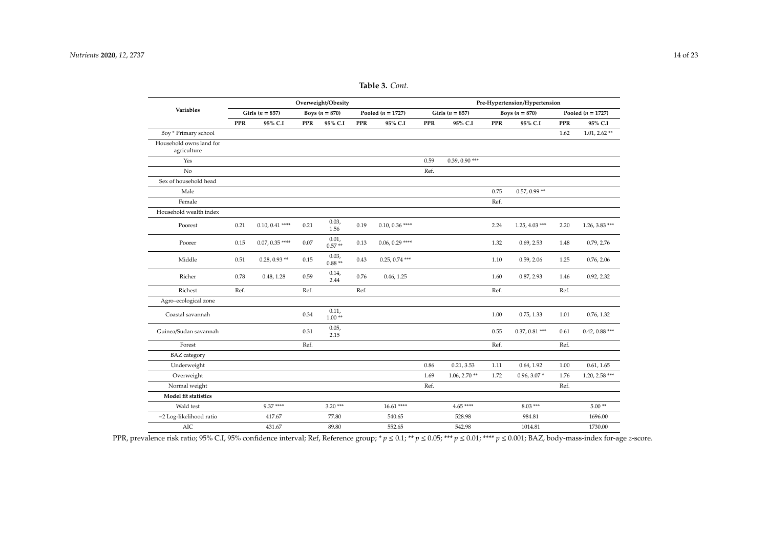|  | <b>Table 3.</b> Cont. |
|--|-----------------------|
|--|-----------------------|

|                                        | Overweight/Obesity |                     |      |                   |            |                     | Pre-Hypertension/Hypertension |                     |      |                  |                     |                  |  |  |
|----------------------------------------|--------------------|---------------------|------|-------------------|------------|---------------------|-------------------------------|---------------------|------|------------------|---------------------|------------------|--|--|
| Variables                              |                    | Girls ( $n = 857$ ) |      | Boys $(n = 870)$  |            | Pooled $(n = 1727)$ |                               | Girls ( $n = 857$ ) |      | Boys $(n = 870)$ | Pooled $(n = 1727)$ |                  |  |  |
|                                        | <b>PPR</b>         | 95% C.I             | PPR  | 95% C.I           | <b>PPR</b> | 95% C.I             | <b>PPR</b>                    | 95% C.I             | PPR  | 95% C.I          | <b>PPR</b>          | 95% C.I          |  |  |
| Boy * Primary school                   |                    |                     |      |                   |            |                     |                               |                     |      |                  | 1.62                | $1.01, 2.62$ **  |  |  |
| Household owns land for<br>agriculture |                    |                     |      |                   |            |                     |                               |                     |      |                  |                     |                  |  |  |
| Yes                                    |                    |                     |      |                   |            |                     | 0.59                          | $0.39, 0.90$ ***    |      |                  |                     |                  |  |  |
| No                                     |                    |                     |      |                   |            |                     | Ref.                          |                     |      |                  |                     |                  |  |  |
| Sex of household head                  |                    |                     |      |                   |            |                     |                               |                     |      |                  |                     |                  |  |  |
| Male                                   |                    |                     |      |                   |            |                     |                               |                     | 0.75 | $0.57, 0.99**$   |                     |                  |  |  |
| Female                                 |                    |                     |      |                   |            |                     |                               |                     | Ref. |                  |                     |                  |  |  |
| Household wealth index                 |                    |                     |      |                   |            |                     |                               |                     |      |                  |                     |                  |  |  |
| Poorest                                | 0.21               | $0.10, 0.41$ ****   | 0.21 | 0.03,<br>1.56     | 0.19       | $0.10, 0.36$ ****   |                               |                     | 2.24 | $1.25, 4.03$ *** | 2.20                | $1.26, 3.83$ *** |  |  |
| Poorer                                 | 0.15               | $0.07, 0.35$ ****   | 0.07 | 0.01,<br>$0.57**$ | 0.13       | $0.06, 0.29$ ****   |                               |                     | 1.32 | 0.69, 2.53       | 1.48                | 0.79, 2.76       |  |  |
| Middle                                 | 0.51               | $0.28, 0.93$ **     | 0.15 | 0.03,<br>$0.88**$ | 0.43       | $0.25, 0.74$ ***    |                               |                     | 1.10 | 0.59, 2.06       | 1.25                | 0.76, 2.06       |  |  |
| Richer                                 | 0.78               | 0.48, 1.28          | 0.59 | 0.14,<br>2.44     | 0.76       | 0.46, 1.25          |                               |                     | 1.60 | 0.87, 2.93       | 1.46                | 0.92, 2.32       |  |  |
| Richest                                | Ref.               |                     | Ref. |                   | Ref.       |                     |                               |                     | Ref. |                  | Ref.                |                  |  |  |
| Agro-ecological zone                   |                    |                     |      |                   |            |                     |                               |                     |      |                  |                     |                  |  |  |
| Coastal savannah                       |                    |                     | 0.34 | 0.11,<br>$1.00**$ |            |                     |                               |                     | 1.00 | 0.75, 1.33       | 1.01                | 0.76, 1.32       |  |  |
| Guinea/Sudan savannah                  |                    |                     | 0.31 | 0.05,<br>2.15     |            |                     |                               |                     | 0.55 | $0.37, 0.81$ *** | 0.61                | $0.42, 0.88$ *** |  |  |
| Forest                                 |                    |                     | Ref. |                   |            |                     |                               |                     | Ref. |                  | Ref.                |                  |  |  |
| <b>BAZ</b> category                    |                    |                     |      |                   |            |                     |                               |                     |      |                  |                     |                  |  |  |
| Underweight                            |                    |                     |      |                   |            |                     | 0.86                          | 0.21, 3.53          | 1.11 | 0.64, 1.92       | 1.00                | 0.61, 1.65       |  |  |
| Overweight                             |                    |                     |      |                   |            |                     | 1.69                          | $1.06, 2.70**$      | 1.72 | $0.96, 3.07*$    | 1.76                | $1.20, 2.58$ *** |  |  |
| Normal weight                          |                    |                     |      |                   |            |                     | Ref.                          |                     |      |                  | Ref.                |                  |  |  |
| Model fit statistics                   |                    |                     |      |                   |            |                     |                               |                     |      |                  |                     |                  |  |  |
| Wald test                              |                    | $9.37***$           |      | $3.20***$         |            | $16.61***$          |                               | $4.65***$           |      | $8.03***$        |                     | $5.00**$         |  |  |
| -2 Log-likelihood ratio                |                    | 417.67              |      | 77.80             |            | 540.65              |                               | 528.98              |      | 984.81           |                     | 1696.00          |  |  |
| AIC                                    |                    | 431.67              |      | 89.80             |            | 552.65              |                               | 542.98              |      | 1014.81          |                     | 1730.00          |  |  |

PPR, prevalence risk ratio; 95% C.I, 95% confidence interval; Ref, Reference group; \* *p* ≤ 0.1; \*\* *p* ≤ 0.05; \*\*\* *p* ≤ 0.01; \*\*\*\* *p* ≤ 0.001; BAZ, body-mass-index for-age *z*-score.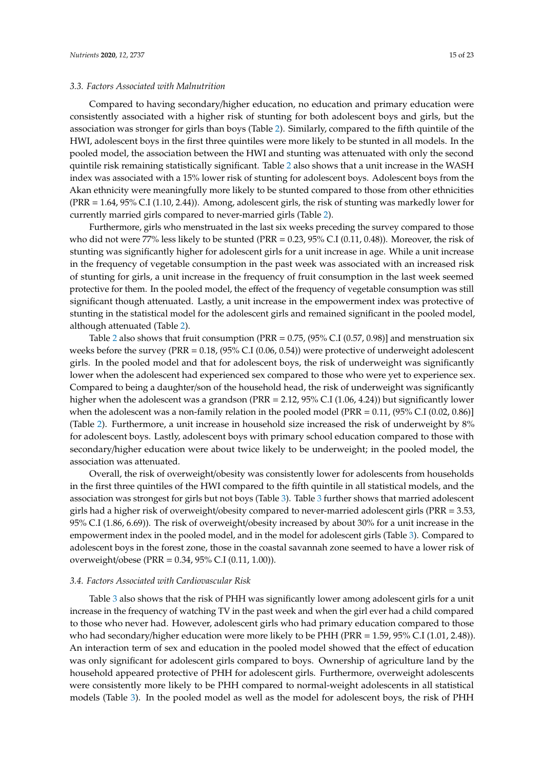#### *3.3. Factors Associated with Malnutrition*

Compared to having secondary/higher education, no education and primary education were consistently associated with a higher risk of stunting for both adolescent boys and girls, but the association was stronger for girls than boys (Table [2\)](#page-10-0). Similarly, compared to the fifth quintile of the HWI, adolescent boys in the first three quintiles were more likely to be stunted in all models. In the pooled model, the association between the HWI and stunting was attenuated with only the second quintile risk remaining statistically significant. Table [2](#page-10-0) also shows that a unit increase in the WASH index was associated with a 15% lower risk of stunting for adolescent boys. Adolescent boys from the Akan ethnicity were meaningfully more likely to be stunted compared to those from other ethnicities (PRR = 1.64, 95% C.I (1.10, 2.44)). Among, adolescent girls, the risk of stunting was markedly lower for currently married girls compared to never-married girls (Table [2\)](#page-10-0).

Furthermore, girls who menstruated in the last six weeks preceding the survey compared to those who did not were 77% less likely to be stunted (PRR = 0.23, 95% C.I (0.11, 0.48)). Moreover, the risk of stunting was significantly higher for adolescent girls for a unit increase in age. While a unit increase in the frequency of vegetable consumption in the past week was associated with an increased risk of stunting for girls, a unit increase in the frequency of fruit consumption in the last week seemed protective for them. In the pooled model, the effect of the frequency of vegetable consumption was still significant though attenuated. Lastly, a unit increase in the empowerment index was protective of stunting in the statistical model for the adolescent girls and remained significant in the pooled model, although attenuated (Table [2\)](#page-10-0).

Table [2](#page-10-0) also shows that fruit consumption (PRR =  $0.75$ , (95% C.I (0.57, 0.98)] and menstruation six weeks before the survey (PRR = 0.18, (95% C.I (0.06, 0.54)) were protective of underweight adolescent girls. In the pooled model and that for adolescent boys, the risk of underweight was significantly lower when the adolescent had experienced sex compared to those who were yet to experience sex. Compared to being a daughter/son of the household head, the risk of underweight was significantly higher when the adolescent was a grandson (PRR = 2.12, 95% C.I (1.06, 4.24)) but significantly lower when the adolescent was a non-family relation in the pooled model (PRR = 0.11, (95% C.I (0.02, 0.86)] (Table [2\)](#page-10-0). Furthermore, a unit increase in household size increased the risk of underweight by 8% for adolescent boys. Lastly, adolescent boys with primary school education compared to those with secondary/higher education were about twice likely to be underweight; in the pooled model, the association was attenuated.

Overall, the risk of overweight/obesity was consistently lower for adolescents from households in the first three quintiles of the HWI compared to the fifth quintile in all statistical models, and the association was strongest for girls but not boys (Table [3\)](#page-12-0). Table [3](#page-12-0) further shows that married adolescent girls had a higher risk of overweight/obesity compared to never-married adolescent girls (PRR = 3.53, 95% C.I (1.86, 6.69)). The risk of overweight/obesity increased by about 30% for a unit increase in the empowerment index in the pooled model, and in the model for adolescent girls (Table [3\)](#page-12-0). Compared to adolescent boys in the forest zone, those in the coastal savannah zone seemed to have a lower risk of overweight/obese (PRR = 0.34, 95% C.I (0.11, 1.00)).

#### *3.4. Factors Associated with Cardiovascular Risk*

Table [3](#page-12-0) also shows that the risk of PHH was significantly lower among adolescent girls for a unit increase in the frequency of watching TV in the past week and when the girl ever had a child compared to those who never had. However, adolescent girls who had primary education compared to those who had secondary/higher education were more likely to be PHH (PRR = 1.59, 95% C.I (1.01, 2.48)). An interaction term of sex and education in the pooled model showed that the effect of education was only significant for adolescent girls compared to boys. Ownership of agriculture land by the household appeared protective of PHH for adolescent girls. Furthermore, overweight adolescents were consistently more likely to be PHH compared to normal-weight adolescents in all statistical models (Table [3\)](#page-12-0). In the pooled model as well as the model for adolescent boys, the risk of PHH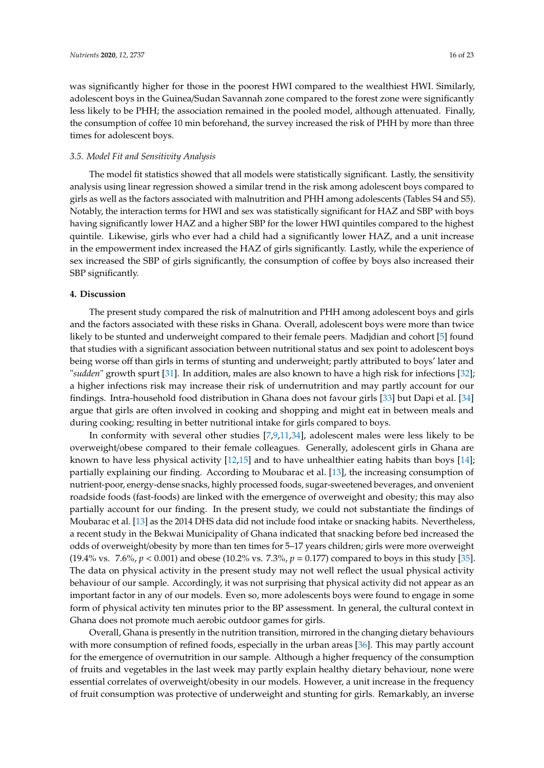was significantly higher for those in the poorest HWI compared to the wealthiest HWI. Similarly, adolescent boys in the Guinea/Sudan Savannah zone compared to the forest zone were significantly less likely to be PHH; the association remained in the pooled model, although attenuated. Finally, the consumption of coffee 10 min beforehand, the survey increased the risk of PHH by more than three times for adolescent boys.

#### *3.5. Model Fit and Sensitivity Analysis*

The model fit statistics showed that all models were statistically significant. Lastly, the sensitivity analysis using linear regression showed a similar trend in the risk among adolescent boys compared to girls as well as the factors associated with malnutrition and PHH among adolescents (Tables S4 and S5). Notably, the interaction terms for HWI and sex was statistically significant for HAZ and SBP with boys having significantly lower HAZ and a higher SBP for the lower HWI quintiles compared to the highest quintile. Likewise, girls who ever had a child had a significantly lower HAZ, and a unit increase in the empowerment index increased the HAZ of girls significantly. Lastly, while the experience of sex increased the SBP of girls significantly, the consumption of coffee by boys also increased their SBP significantly.

#### **4. Discussion**

The present study compared the risk of malnutrition and PHH among adolescent boys and girls and the factors associated with these risks in Ghana. Overall, adolescent boys were more than twice likely to be stunted and underweight compared to their female peers. Madjdian and cohort [\[5\]](#page-20-2) found that studies with a significant association between nutritional status and sex point to adolescent boys being worse off than girls in terms of stunting and underweight; partly attributed to boys' later and "*sudden*" growth spurt [\[31\]](#page-21-7). In addition, males are also known to have a high risk for infections [\[32\]](#page-21-8); a higher infections risk may increase their risk of undernutrition and may partly account for our findings. Intra-household food distribution in Ghana does not favour girls [\[33\]](#page-21-9) but Dapi et al. [\[34\]](#page-21-10) argue that girls are often involved in cooking and shopping and might eat in between meals and during cooking; resulting in better nutritional intake for girls compared to boys.

In conformity with several other studies [\[7,](#page-20-4)[9,](#page-20-6)[11,](#page-20-8)[34\]](#page-21-10), adolescent males were less likely to be overweight/obese compared to their female colleagues. Generally, adolescent girls in Ghana are known to have less physical activity  $[12,15]$  $[12,15]$  and to have unhealthier eating habits than boys  $[14]$ ; partially explaining our finding. According to Moubarac et al. [\[13\]](#page-20-20), the increasing consumption of nutrient-poor, energy-dense snacks, highly processed foods, sugar-sweetened beverages, and onvenient roadside foods (fast-foods) are linked with the emergence of overweight and obesity; this may also partially account for our finding. In the present study, we could not substantiate the findings of Moubarac et al. [\[13\]](#page-20-20) as the 2014 DHS data did not include food intake or snacking habits. Nevertheless, a recent study in the Bekwai Municipality of Ghana indicated that snacking before bed increased the odds of overweight/obesity by more than ten times for 5–17 years children; girls were more overweight (19.4% vs. 7.6%, *p* < 0.001) and obese (10.2% vs. 7.3%, *p* = 0.177) compared to boys in this study [\[35\]](#page-21-11). The data on physical activity in the present study may not well reflect the usual physical activity behaviour of our sample. Accordingly, it was not surprising that physical activity did not appear as an important factor in any of our models. Even so, more adolescents boys were found to engage in some form of physical activity ten minutes prior to the BP assessment. In general, the cultural context in Ghana does not promote much aerobic outdoor games for girls.

Overall, Ghana is presently in the nutrition transition, mirrored in the changing dietary behaviours with more consumption of refined foods, especially in the urban areas [\[36\]](#page-21-12). This may partly account for the emergence of overnutrition in our sample. Although a higher frequency of the consumption of fruits and vegetables in the last week may partly explain healthy dietary behaviour, none were essential correlates of overweight/obesity in our models. However, a unit increase in the frequency of fruit consumption was protective of underweight and stunting for girls. Remarkably, an inverse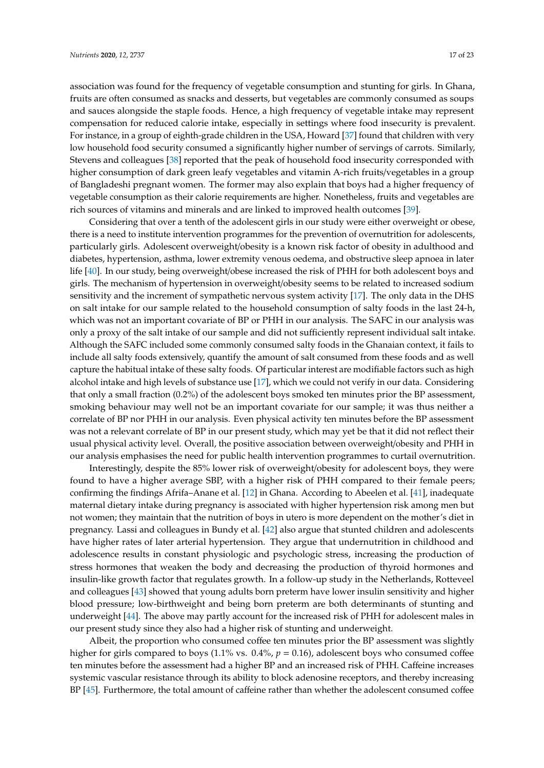association was found for the frequency of vegetable consumption and stunting for girls. In Ghana, fruits are often consumed as snacks and desserts, but vegetables are commonly consumed as soups and sauces alongside the staple foods. Hence, a high frequency of vegetable intake may represent compensation for reduced calorie intake, especially in settings where food insecurity is prevalent. For instance, in a group of eighth-grade children in the USA, Howard [\[37\]](#page-21-13) found that children with very low household food security consumed a significantly higher number of servings of carrots. Similarly, Stevens and colleagues [\[38\]](#page-21-14) reported that the peak of household food insecurity corresponded with higher consumption of dark green leafy vegetables and vitamin A-rich fruits/vegetables in a group of Bangladeshi pregnant women. The former may also explain that boys had a higher frequency of vegetable consumption as their calorie requirements are higher. Nonetheless, fruits and vegetables are rich sources of vitamins and minerals and are linked to improved health outcomes [\[39\]](#page-21-15).

Considering that over a tenth of the adolescent girls in our study were either overweight or obese, there is a need to institute intervention programmes for the prevention of overnutrition for adolescents, particularly girls. Adolescent overweight/obesity is a known risk factor of obesity in adulthood and diabetes, hypertension, asthma, lower extremity venous oedema, and obstructive sleep apnoea in later life [\[40\]](#page-21-16). In our study, being overweight/obese increased the risk of PHH for both adolescent boys and girls. The mechanism of hypertension in overweight/obesity seems to be related to increased sodium sensitivity and the increment of sympathetic nervous system activity [\[17\]](#page-20-13). The only data in the DHS on salt intake for our sample related to the household consumption of salty foods in the last 24-h, which was not an important covariate of BP or PHH in our analysis. The SAFC in our analysis was only a proxy of the salt intake of our sample and did not sufficiently represent individual salt intake. Although the SAFC included some commonly consumed salty foods in the Ghanaian context, it fails to include all salty foods extensively, quantify the amount of salt consumed from these foods and as well capture the habitual intake of these salty foods. Of particular interest are modifiable factors such as high alcohol intake and high levels of substance use [\[17\]](#page-20-13), which we could not verify in our data. Considering that only a small fraction (0.2%) of the adolescent boys smoked ten minutes prior the BP assessment, smoking behaviour may well not be an important covariate for our sample; it was thus neither a correlate of BP nor PHH in our analysis. Even physical activity ten minutes before the BP assessment was not a relevant correlate of BP in our present study, which may yet be that it did not reflect their usual physical activity level. Overall, the positive association between overweight/obesity and PHH in our analysis emphasises the need for public health intervention programmes to curtail overnutrition.

Interestingly, despite the 85% lower risk of overweight/obesity for adolescent boys, they were found to have a higher average SBP, with a higher risk of PHH compared to their female peers; confirming the findings Afrifa–Anane et al. [\[12\]](#page-20-7) in Ghana. According to Abeelen et al. [\[41\]](#page-21-17), inadequate maternal dietary intake during pregnancy is associated with higher hypertension risk among men but not women; they maintain that the nutrition of boys in utero is more dependent on the mother's diet in pregnancy. Lassi and colleagues in Bundy et al. [\[42\]](#page-21-18) also argue that stunted children and adolescents have higher rates of later arterial hypertension. They argue that undernutrition in childhood and adolescence results in constant physiologic and psychologic stress, increasing the production of stress hormones that weaken the body and decreasing the production of thyroid hormones and insulin-like growth factor that regulates growth. In a follow-up study in the Netherlands, Rotteveel and colleagues [\[43\]](#page-21-19) showed that young adults born preterm have lower insulin sensitivity and higher blood pressure; low-birthweight and being born preterm are both determinants of stunting and underweight [\[44\]](#page-21-20). The above may partly account for the increased risk of PHH for adolescent males in our present study since they also had a higher risk of stunting and underweight.

Albeit, the proportion who consumed coffee ten minutes prior the BP assessment was slightly higher for girls compared to boys  $(1.1\% \text{ vs. } 0.4\%, p = 0.16)$ , adolescent boys who consumed coffee ten minutes before the assessment had a higher BP and an increased risk of PHH. Caffeine increases systemic vascular resistance through its ability to block adenosine receptors, and thereby increasing BP [\[45\]](#page-22-0). Furthermore, the total amount of caffeine rather than whether the adolescent consumed coffee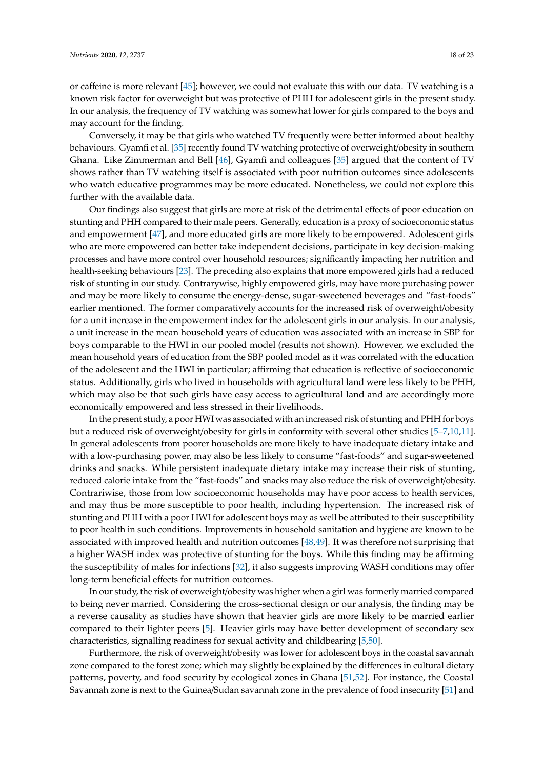or caffeine is more relevant [\[45\]](#page-22-0); however, we could not evaluate this with our data. TV watching is a known risk factor for overweight but was protective of PHH for adolescent girls in the present study. In our analysis, the frequency of TV watching was somewhat lower for girls compared to the boys and may account for the finding.

Conversely, it may be that girls who watched TV frequently were better informed about healthy behaviours. Gyamfi et al. [\[35\]](#page-21-11) recently found TV watching protective of overweight/obesity in southern Ghana. Like Zimmerman and Bell [\[46\]](#page-22-1), Gyamfi and colleagues [\[35\]](#page-21-11) argued that the content of TV shows rather than TV watching itself is associated with poor nutrition outcomes since adolescents who watch educative programmes may be more educated. Nonetheless, we could not explore this further with the available data.

Our findings also suggest that girls are more at risk of the detrimental effects of poor education on stunting and PHH compared to their male peers. Generally, education is a proxy of socioeconomic status and empowerment [\[47\]](#page-22-2), and more educated girls are more likely to be empowered. Adolescent girls who are more empowered can better take independent decisions, participate in key decision-making processes and have more control over household resources; significantly impacting her nutrition and health-seeking behaviours [\[23\]](#page-20-19). The preceding also explains that more empowered girls had a reduced risk of stunting in our study. Contrarywise, highly empowered girls, may have more purchasing power and may be more likely to consume the energy-dense, sugar-sweetened beverages and "fast-foods" earlier mentioned. The former comparatively accounts for the increased risk of overweight/obesity for a unit increase in the empowerment index for the adolescent girls in our analysis. In our analysis, a unit increase in the mean household years of education was associated with an increase in SBP for boys comparable to the HWI in our pooled model (results not shown). However, we excluded the mean household years of education from the SBP pooled model as it was correlated with the education of the adolescent and the HWI in particular; affirming that education is reflective of socioeconomic status. Additionally, girls who lived in households with agricultural land were less likely to be PHH, which may also be that such girls have easy access to agricultural land and are accordingly more economically empowered and less stressed in their livelihoods.

In the present study, a poor HWI was associated with an increased risk of stunting and PHH for boys but a reduced risk of overweight/obesity for girls in conformity with several other studies [\[5–](#page-20-2)[7](#page-20-4)[,10,](#page-20-9)[11\]](#page-20-8). In general adolescents from poorer households are more likely to have inadequate dietary intake and with a low-purchasing power, may also be less likely to consume "fast-foods" and sugar-sweetened drinks and snacks. While persistent inadequate dietary intake may increase their risk of stunting, reduced calorie intake from the "fast-foods" and snacks may also reduce the risk of overweight/obesity. Contrariwise, those from low socioeconomic households may have poor access to health services, and may thus be more susceptible to poor health, including hypertension. The increased risk of stunting and PHH with a poor HWI for adolescent boys may as well be attributed to their susceptibility to poor health in such conditions. Improvements in household sanitation and hygiene are known to be associated with improved health and nutrition outcomes [\[48,](#page-22-3)[49\]](#page-22-4). It was therefore not surprising that a higher WASH index was protective of stunting for the boys. While this finding may be affirming the susceptibility of males for infections [\[32\]](#page-21-8), it also suggests improving WASH conditions may offer long-term beneficial effects for nutrition outcomes.

In our study, the risk of overweight/obesity was higher when a girl was formerly married compared to being never married. Considering the cross-sectional design or our analysis, the finding may be a reverse causality as studies have shown that heavier girls are more likely to be married earlier compared to their lighter peers [\[5\]](#page-20-2). Heavier girls may have better development of secondary sex characteristics, signalling readiness for sexual activity and childbearing [\[5,](#page-20-2)[50\]](#page-22-5).

Furthermore, the risk of overweight/obesity was lower for adolescent boys in the coastal savannah zone compared to the forest zone; which may slightly be explained by the differences in cultural dietary patterns, poverty, and food security by ecological zones in Ghana [\[51,](#page-22-6)[52\]](#page-22-7). For instance, the Coastal Savannah zone is next to the Guinea/Sudan savannah zone in the prevalence of food insecurity [\[51\]](#page-22-6) and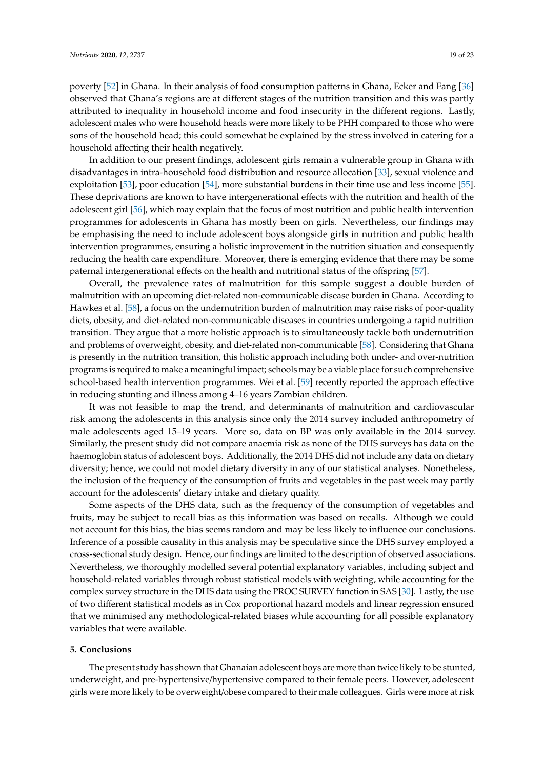poverty [\[52\]](#page-22-7) in Ghana. In their analysis of food consumption patterns in Ghana, Ecker and Fang [\[36\]](#page-21-12) observed that Ghana's regions are at different stages of the nutrition transition and this was partly attributed to inequality in household income and food insecurity in the different regions. Lastly, adolescent males who were household heads were more likely to be PHH compared to those who were sons of the household head; this could somewhat be explained by the stress involved in catering for a household affecting their health negatively.

In addition to our present findings, adolescent girls remain a vulnerable group in Ghana with disadvantages in intra-household food distribution and resource allocation [\[33\]](#page-21-9), sexual violence and exploitation [\[53\]](#page-22-8), poor education [\[54\]](#page-22-9), more substantial burdens in their time use and less income [\[55\]](#page-22-10). These deprivations are known to have intergenerational effects with the nutrition and health of the adolescent girl [\[56\]](#page-22-11), which may explain that the focus of most nutrition and public health intervention programmes for adolescents in Ghana has mostly been on girls. Nevertheless, our findings may be emphasising the need to include adolescent boys alongside girls in nutrition and public health intervention programmes, ensuring a holistic improvement in the nutrition situation and consequently reducing the health care expenditure. Moreover, there is emerging evidence that there may be some paternal intergenerational effects on the health and nutritional status of the offspring [\[57\]](#page-22-12).

Overall, the prevalence rates of malnutrition for this sample suggest a double burden of malnutrition with an upcoming diet-related non-communicable disease burden in Ghana. According to Hawkes et al. [\[58\]](#page-22-13), a focus on the undernutrition burden of malnutrition may raise risks of poor-quality diets, obesity, and diet-related non-communicable diseases in countries undergoing a rapid nutrition transition. They argue that a more holistic approach is to simultaneously tackle both undernutrition and problems of overweight, obesity, and diet-related non-communicable [\[58\]](#page-22-13). Considering that Ghana is presently in the nutrition transition, this holistic approach including both under- and over-nutrition programs is required to make a meaningful impact; schools may be a viable place for such comprehensive school-based health intervention programmes. Wei et al. [\[59\]](#page-22-14) recently reported the approach effective in reducing stunting and illness among 4–16 years Zambian children.

It was not feasible to map the trend, and determinants of malnutrition and cardiovascular risk among the adolescents in this analysis since only the 2014 survey included anthropometry of male adolescents aged 15–19 years. More so, data on BP was only available in the 2014 survey. Similarly, the present study did not compare anaemia risk as none of the DHS surveys has data on the haemoglobin status of adolescent boys. Additionally, the 2014 DHS did not include any data on dietary diversity; hence, we could not model dietary diversity in any of our statistical analyses. Nonetheless, the inclusion of the frequency of the consumption of fruits and vegetables in the past week may partly account for the adolescents' dietary intake and dietary quality.

Some aspects of the DHS data, such as the frequency of the consumption of vegetables and fruits, may be subject to recall bias as this information was based on recalls. Although we could not account for this bias, the bias seems random and may be less likely to influence our conclusions. Inference of a possible causality in this analysis may be speculative since the DHS survey employed a cross-sectional study design. Hence, our findings are limited to the description of observed associations. Nevertheless, we thoroughly modelled several potential explanatory variables, including subject and household-related variables through robust statistical models with weighting, while accounting for the complex survey structure in the DHS data using the PROC SURVEY function in SAS [\[30\]](#page-21-6). Lastly, the use of two different statistical models as in Cox proportional hazard models and linear regression ensured that we minimised any methodological-related biases while accounting for all possible explanatory variables that were available.

#### **5. Conclusions**

The present study has shown that Ghanaian adolescent boys are more than twice likely to be stunted, underweight, and pre-hypertensive/hypertensive compared to their female peers. However, adolescent girls were more likely to be overweight/obese compared to their male colleagues. Girls were more at risk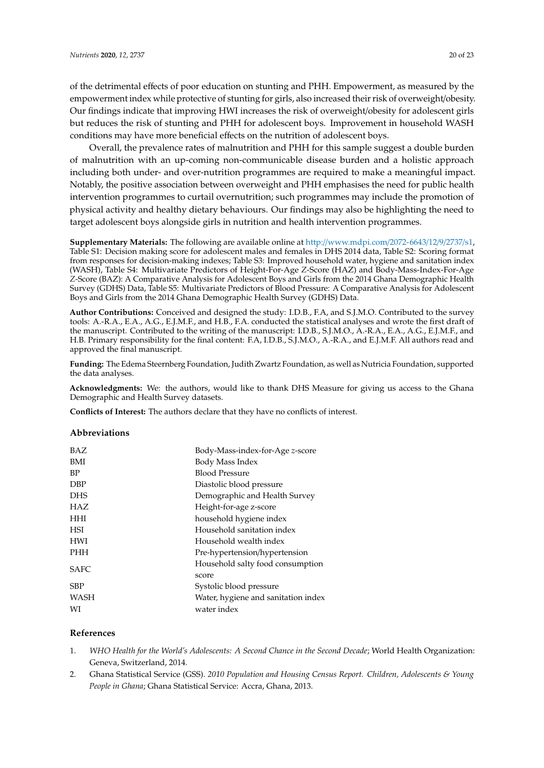of the detrimental effects of poor education on stunting and PHH. Empowerment, as measured by the empowerment index while protective of stunting for girls, also increased their risk of overweight/obesity. Our findings indicate that improving HWI increases the risk of overweight/obesity for adolescent girls but reduces the risk of stunting and PHH for adolescent boys. Improvement in household WASH conditions may have more beneficial effects on the nutrition of adolescent boys.

Overall, the prevalence rates of malnutrition and PHH for this sample suggest a double burden of malnutrition with an up-coming non-communicable disease burden and a holistic approach including both under- and over-nutrition programmes are required to make a meaningful impact. Notably, the positive association between overweight and PHH emphasises the need for public health intervention programmes to curtail overnutrition; such programmes may include the promotion of physical activity and healthy dietary behaviours. Our findings may also be highlighting the need to target adolescent boys alongside girls in nutrition and health intervention programmes.

**Supplementary Materials:** The following are available online at http://[www.mdpi.com](http://www.mdpi.com/2072-6643/12/9/2737/s1)/2072-6643/12/9/2737/s1, Table S1: Decision making score for adolescent males and females in DHS 2014 data, Table S2: Scoring format from responses for decision-making indexes; Table S3: Improved household water, hygiene and sanitation index (WASH), Table S4: Multivariate Predictors of Height-For-Age *Z*-Score (HAZ) and Body-Mass-Index-For-Age *Z*-Score (BAZ): A Comparative Analysis for Adolescent Boys and Girls from the 2014 Ghana Demographic Health Survey (GDHS) Data, Table S5: Multivariate Predictors of Blood Pressure: A Comparative Analysis for Adolescent Boys and Girls from the 2014 Ghana Demographic Health Survey (GDHS) Data.

**Author Contributions:** Conceived and designed the study: I.D.B., F.A, and S.J.M.O. Contributed to the survey tools: A.-R.A., E.A., A.G., E.J.M.F., and H.B., F.A. conducted the statistical analyses and wrote the first draft of the manuscript. Contributed to the writing of the manuscript: I.D.B., S.J.M.O., A.-R.A., E.A., A.G., E.J.M.F., and H.B. Primary responsibility for the final content: F.A, I.D.B., S.J.M.O., A.-R.A., and E.J.M.F. All authors read and approved the final manuscript.

**Funding:** The Edema Steernberg Foundation, Judith Zwartz Foundation, as well as Nutricia Foundation, supported the data analyses.

**Acknowledgments:** We: the authors, would like to thank DHS Measure for giving us access to the Ghana Demographic and Health Survey datasets.

**Conflicts of Interest:** The authors declare that they have no conflicts of interest.

#### **Abbreviations**

| <b>BAZ</b>  | Body-Mass-index-for-Age z-score     |
|-------------|-------------------------------------|
| <b>BMI</b>  | Body Mass Index                     |
| <b>BP</b>   | <b>Blood Pressure</b>               |
| <b>DBP</b>  | Diastolic blood pressure            |
| <b>DHS</b>  | Demographic and Health Survey       |
| <b>HAZ</b>  | Height-for-age z-score              |
| <b>HHI</b>  | household hygiene index             |
| <b>HSI</b>  | Household sanitation index          |
| <b>HWI</b>  | Household wealth index              |
| <b>PHH</b>  | Pre-hypertension/hypertension       |
| <b>SAFC</b> | Household salty food consumption    |
|             | score                               |
| SBP         | Systolic blood pressure             |
| WASH        | Water, hygiene and sanitation index |
| WI          | water index                         |

#### **References**

- <span id="page-19-0"></span>1. *WHO Health for the World's Adolescents: A Second Chance in the Second Decade*; World Health Organization: Geneva, Switzerland, 2014.
- <span id="page-19-1"></span>2. Ghana Statistical Service (GSS). *2010 Population and Housing Census Report. Children, Adolescents & Young People in Ghana*; Ghana Statistical Service: Accra, Ghana, 2013.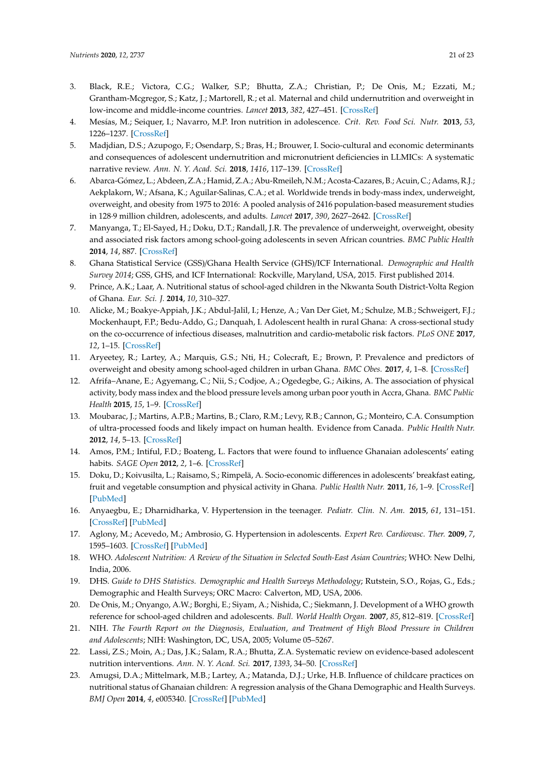- <span id="page-20-0"></span>3. Black, R.E.; Victora, C.G.; Walker, S.P.; Bhutta, Z.A.; Christian, P.; De Onis, M.; Ezzati, M.; Grantham-Mcgregor, S.; Katz, J.; Martorell, R.; et al. Maternal and child undernutrition and overweight in low-income and middle-income countries. *Lancet* **2013**, *382*, 427–451. [\[CrossRef\]](http://dx.doi.org/10.1016/S0140-6736(13)60937-X)
- <span id="page-20-1"></span>4. Mesías, M.; Seiquer, I.; Navarro, M.P. Iron nutrition in adolescence. *Crit. Rev. Food Sci. Nutr.* **2013**, *53*, 1226–1237. [\[CrossRef\]](http://dx.doi.org/10.1080/10408398.2011.564333)
- <span id="page-20-2"></span>5. Madjdian, D.S.; Azupogo, F.; Osendarp, S.; Bras, H.; Brouwer, I. Socio-cultural and economic determinants and consequences of adolescent undernutrition and micronutrient deficiencies in LLMICs: A systematic narrative review. *Ann. N. Y. Acad. Sci.* **2018**, *1416*, 117–139. [\[CrossRef\]](http://dx.doi.org/10.1111/nyas.13670)
- <span id="page-20-3"></span>6. Abarca-Gómez, L.; Abdeen, Z.A.; Hamid, Z.A.; Abu-Rmeileh, N.M.; Acosta-Cazares, B.; Acuin, C.; Adams, R.J.; Aekplakorn, W.; Afsana, K.; Aguilar-Salinas, C.A.; et al. Worldwide trends in body-mass index, underweight, overweight, and obesity from 1975 to 2016: A pooled analysis of 2416 population-based measurement studies in 128·9 million children, adolescents, and adults. *Lancet* **2017**, *390*, 2627–2642. [\[CrossRef\]](http://dx.doi.org/10.1016/S0140-6736(17)32129-3)
- <span id="page-20-4"></span>7. Manyanga, T.; El-Sayed, H.; Doku, D.T.; Randall, J.R. The prevalence of underweight, overweight, obesity and associated risk factors among school-going adolescents in seven African countries. *BMC Public Health* **2014**, *14*, 887. [\[CrossRef\]](http://dx.doi.org/10.1186/1471-2458-14-887)
- <span id="page-20-5"></span>8. Ghana Statistical Service (GSS)/Ghana Health Service (GHS)/ICF International. *Demographic and Health Survey 2014*; GSS, GHS, and ICF International: Rockville, Maryland, USA, 2015. First published 2014.
- <span id="page-20-6"></span>9. Prince, A.K.; Laar, A. Nutritional status of school-aged children in the Nkwanta South District-Volta Region of Ghana. *Eur. Sci. J.* **2014**, *10*, 310–327.
- <span id="page-20-9"></span>10. Alicke, M.; Boakye-Appiah, J.K.; Abdul-Jalil, I.; Henze, A.; Van Der Giet, M.; Schulze, M.B.; Schweigert, F.J.; Mockenhaupt, F.P.; Bedu-Addo, G.; Danquah, I. Adolescent health in rural Ghana: A cross-sectional study on the co-occurrence of infectious diseases, malnutrition and cardio-metabolic risk factors. *PLoS ONE* **2017**, *12*, 1–15. [\[CrossRef\]](http://dx.doi.org/10.1371/journal.pone.0180436)
- <span id="page-20-8"></span>11. Aryeetey, R.; Lartey, A.; Marquis, G.S.; Nti, H.; Colecraft, E.; Brown, P. Prevalence and predictors of overweight and obesity among school-aged children in urban Ghana. *BMC Obes.* **2017**, *4*, 1–8. [\[CrossRef\]](http://dx.doi.org/10.1186/s40608-017-0174-0)
- <span id="page-20-7"></span>12. Afrifa–Anane, E.; Agyemang, C.; Nii, S.; Codjoe, A.; Ogedegbe, G.; Aikins, A. The association of physical activity, body mass index and the blood pressure levels among urban poor youth in Accra, Ghana. *BMC Public Health* **2015**, *15*, 1–9. [\[CrossRef\]](http://dx.doi.org/10.1186/s12889-015-1546-3)
- <span id="page-20-20"></span>13. Moubarac, J.; Martins, A.P.B.; Martins, B.; Claro, R.M.; Levy, R.B.; Cannon, G.; Monteiro, C.A. Consumption of ultra-processed foods and likely impact on human health. Evidence from Canada. *Public Health Nutr.* **2012**, *14*, 5–13. [\[CrossRef\]](http://dx.doi.org/10.1017/S1368980012005009)
- <span id="page-20-10"></span>14. Amos, P.M.; Intiful, F.D.; Boateng, L. Factors that were found to influence Ghanaian adolescents' eating habits. *SAGE Open* **2012**, *2*, 1–6. [\[CrossRef\]](http://dx.doi.org/10.1177/2158244012468140)
- <span id="page-20-11"></span>15. Doku, D.; Koivusilta, L.; Raisamo, S.; Rimpelä, A. Socio-economic differences in adolescents' breakfast eating, fruit and vegetable consumption and physical activity in Ghana. *Public Health Nutr.* **2011**, *16*, 1–9. [\[CrossRef\]](http://dx.doi.org/10.1017/S136898001100276X) [\[PubMed\]](http://www.ncbi.nlm.nih.gov/pubmed/22030213)
- <span id="page-20-12"></span>16. Anyaegbu, E.; Dharnidharka, V. Hypertension in the teenager. *Pediatr. Clin. N. Am.* **2015**, *61*, 131–151. [\[CrossRef\]](http://dx.doi.org/10.1016/j.pcl.2013.09.011) [\[PubMed\]](http://www.ncbi.nlm.nih.gov/pubmed/24267462)
- <span id="page-20-13"></span>17. Aglony, M.; Acevedo, M.; Ambrosio, G. Hypertension in adolescents. *Expert Rev. Cardiovasc. Ther.* **2009**, *7*, 1595–1603. [\[CrossRef\]](http://dx.doi.org/10.1586/erc.09.150) [\[PubMed\]](http://www.ncbi.nlm.nih.gov/pubmed/19954321)
- <span id="page-20-14"></span>18. WHO. *Adolescent Nutrition: A Review of the Situation in Selected South-East Asian Countries*; WHO: New Delhi, India, 2006.
- <span id="page-20-15"></span>19. DHS. *Guide to DHS Statistics. Demographic and Health Surveys Methodology*; Rutstein, S.O., Rojas, G., Eds.; Demographic and Health Surveys; ORC Macro: Calverton, MD, USA, 2006.
- <span id="page-20-16"></span>20. De Onis, M.; Onyango, A.W.; Borghi, E.; Siyam, A.; Nishida, C.; Siekmann, J. Development of a WHO growth reference for school-aged children and adolescents. *Bull. World Health Organ.* **2007**, *85*, 812–819. [\[CrossRef\]](http://dx.doi.org/10.2471/BLT.07.043497)
- <span id="page-20-17"></span>21. NIH. *The Fourth Report on the Diagnosis, Evaluation, and Treatment of High Blood Pressure in Children and Adolescents*; NIH: Washington, DC, USA, 2005; Volume 05–5267.
- <span id="page-20-18"></span>22. Lassi, Z.S.; Moin, A.; Das, J.K.; Salam, R.A.; Bhutta, Z.A. Systematic review on evidence-based adolescent nutrition interventions. *Ann. N. Y. Acad. Sci.* **2017**, *1393*, 34–50. [\[CrossRef\]](http://dx.doi.org/10.1111/nyas.13335)
- <span id="page-20-19"></span>23. Amugsi, D.A.; Mittelmark, M.B.; Lartey, A.; Matanda, D.J.; Urke, H.B. Influence of childcare practices on nutritional status of Ghanaian children: A regression analysis of the Ghana Demographic and Health Surveys. *BMJ Open* **2014**, *4*, e005340. [\[CrossRef\]](http://dx.doi.org/10.1136/bmjopen-2014-005340) [\[PubMed\]](http://www.ncbi.nlm.nih.gov/pubmed/25366675)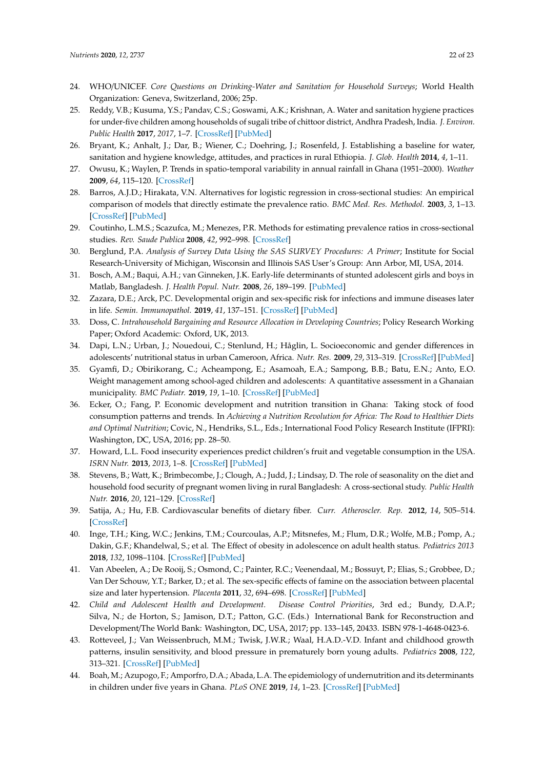- <span id="page-21-0"></span>24. WHO/UNICEF. *Core Questions on Drinking-Water and Sanitation for Household Surveys*; World Health Organization: Geneva, Switzerland, 2006; 25p.
- <span id="page-21-1"></span>25. Reddy, V.B.; Kusuma, Y.S.; Pandav, C.S.; Goswami, A.K.; Krishnan, A. Water and sanitation hygiene practices for under-five children among households of sugali tribe of chittoor district, Andhra Pradesh, India. *J. Environ. Public Health* **2017**, *2017*, 1–7. [\[CrossRef\]](http://dx.doi.org/10.1155/2017/7517414) [\[PubMed\]](http://www.ncbi.nlm.nih.gov/pubmed/28642797)
- <span id="page-21-2"></span>26. Bryant, K.; Anhalt, J.; Dar, B.; Wiener, C.; Doehring, J.; Rosenfeld, J. Establishing a baseline for water, sanitation and hygiene knowledge, attitudes, and practices in rural Ethiopia. *J. Glob. Health* **2014**, *4*, 1–11.
- <span id="page-21-3"></span>27. Owusu, K.; Waylen, P. Trends in spatio-temporal variability in annual rainfall in Ghana (1951–2000). *Weather* **2009**, *64*, 115–120. [\[CrossRef\]](http://dx.doi.org/10.1002/wea.255)
- <span id="page-21-4"></span>28. Barros, A.J.D.; Hirakata, V.N. Alternatives for logistic regression in cross-sectional studies: An empirical comparison of models that directly estimate the prevalence ratio. *BMC Med. Res. Methodol.* **2003**, *3*, 1–13. [\[CrossRef\]](http://dx.doi.org/10.1186/1471-2288-3-21) [\[PubMed\]](http://www.ncbi.nlm.nih.gov/pubmed/14567763)
- <span id="page-21-5"></span>29. Coutinho, L.M.S.; Scazufca, M.; Menezes, P.R. Methods for estimating prevalence ratios in cross-sectional studies. *Rev. Saude Publica* **2008**, *42*, 992–998. [\[CrossRef\]](http://dx.doi.org/10.1590/S0034-89102008000600003)
- <span id="page-21-6"></span>30. Berglund, P.A. *Analysis of Survey Data Using the SAS SURVEY Procedures: A Primer*; Institute for Social Research-University of Michigan, Wisconsin and Illinois SAS User's Group: Ann Arbor, MI, USA, 2014.
- <span id="page-21-7"></span>31. Bosch, A.M.; Baqui, A.H.; van Ginneken, J.K. Early-life determinants of stunted adolescent girls and boys in Matlab, Bangladesh. *J. Health Popul. Nutr.* **2008**, *26*, 189–199. [\[PubMed\]](http://www.ncbi.nlm.nih.gov/pubmed/18686552)
- <span id="page-21-8"></span>32. Zazara, D.E.; Arck, P.C. Developmental origin and sex-specific risk for infections and immune diseases later in life. *Semin. Immunopathol.* **2019**, *41*, 137–151. [\[CrossRef\]](http://dx.doi.org/10.1007/s00281-018-0713-x) [\[PubMed\]](http://www.ncbi.nlm.nih.gov/pubmed/30298432)
- <span id="page-21-9"></span>33. Doss, C. *Intrahousehold Bargaining and Resource Allocation in Developing Countries*; Policy Research Working Paper; Oxford Academic: Oxford, UK, 2013.
- <span id="page-21-10"></span>34. Dapi, L.N.; Urban, J.; Nouedoui, C.; Stenlund, H.; Håglin, L. Socioeconomic and gender differences in adolescents' nutritional status in urban Cameroon, Africa. *Nutr. Res.* **2009**, *29*, 313–319. [\[CrossRef\]](http://dx.doi.org/10.1016/j.nutres.2009.05.002) [\[PubMed\]](http://www.ncbi.nlm.nih.gov/pubmed/19555812)
- <span id="page-21-11"></span>35. Gyamfi, D.; Obirikorang, C.; Acheampong, E.; Asamoah, E.A.; Sampong, B.B.; Batu, E.N.; Anto, E.O. Weight management among school-aged children and adolescents: A quantitative assessment in a Ghanaian municipality. *BMC Pediatr.* **2019**, *19*, 1–10. [\[CrossRef\]](http://dx.doi.org/10.1186/s12887-019-1772-4) [\[PubMed\]](http://www.ncbi.nlm.nih.gov/pubmed/31651289)
- <span id="page-21-12"></span>36. Ecker, O.; Fang, P. Economic development and nutrition transition in Ghana: Taking stock of food consumption patterns and trends. In *Achieving a Nutrition Revolution for Africa: The Road to Healthier Diets and Optimal Nutrition*; Covic, N., Hendriks, S.L., Eds.; International Food Policy Research Institute (IFPRI): Washington, DC, USA, 2016; pp. 28–50.
- <span id="page-21-13"></span>37. Howard, L.L. Food insecurity experiences predict children's fruit and vegetable consumption in the USA. *ISRN Nutr.* **2013**, *2013*, 1–8. [\[CrossRef\]](http://dx.doi.org/10.5402/2013/426029) [\[PubMed\]](http://www.ncbi.nlm.nih.gov/pubmed/24959544)
- <span id="page-21-14"></span>38. Stevens, B.; Watt, K.; Brimbecombe, J.; Clough, A.; Judd, J.; Lindsay, D. The role of seasonality on the diet and household food security of pregnant women living in rural Bangladesh: A cross-sectional study. *Public Health Nutr.* **2016**, *20*, 121–129. [\[CrossRef\]](http://dx.doi.org/10.1017/S136898001600183X)
- <span id="page-21-15"></span>39. Satija, A.; Hu, F.B. Cardiovascular benefits of dietary fiber. *Curr. Atheroscler. Rep.* **2012**, *14*, 505–514. [\[CrossRef\]](http://dx.doi.org/10.1007/s11883-012-0275-7)
- <span id="page-21-16"></span>40. Inge, T.H.; King, W.C.; Jenkins, T.M.; Courcoulas, A.P.; Mitsnefes, M.; Flum, D.R.; Wolfe, M.B.; Pomp, A.; Dakin, G.F.; Khandelwal, S.; et al. The Effect of obesity in adolescence on adult health status. *Pediatrics 2013* **2018**, *132*, 1098–1104. [\[CrossRef\]](http://dx.doi.org/10.1542/peds.2013-2185) [\[PubMed\]](http://www.ncbi.nlm.nih.gov/pubmed/24249816)
- <span id="page-21-17"></span>41. Van Abeelen, A.; De Rooij, S.; Osmond, C.; Painter, R.C.; Veenendaal, M.; Bossuyt, P.; Elias, S.; Grobbee, D.; Van Der Schouw, Y.T.; Barker, D.; et al. The sex-specific effects of famine on the association between placental size and later hypertension. *Placenta* **2011**, *32*, 694–698. [\[CrossRef\]](http://dx.doi.org/10.1016/j.placenta.2011.06.012) [\[PubMed\]](http://www.ncbi.nlm.nih.gov/pubmed/21742377)
- <span id="page-21-18"></span>42. *Child and Adolescent Health and Development. Disease Control Priorities*, 3rd ed.; Bundy, D.A.P.; Silva, N.; de Horton, S.; Jamison, D.T.; Patton, G.C. (Eds.) International Bank for Reconstruction and Development/The World Bank: Washington, DC, USA, 2017; pp. 133–145, 20433. ISBN 978-1-4648-0423-6.
- <span id="page-21-19"></span>43. Rotteveel, J.; Van Weissenbruch, M.M.; Twisk, J.W.R.; Waal, H.A.D.-V.D. Infant and childhood growth patterns, insulin sensitivity, and blood pressure in prematurely born young adults. *Pediatrics* **2008**, *122*, 313–321. [\[CrossRef\]](http://dx.doi.org/10.1542/peds.2007-2012) [\[PubMed\]](http://www.ncbi.nlm.nih.gov/pubmed/18676549)
- <span id="page-21-20"></span>44. Boah, M.; Azupogo, F.; Amporfro, D.A.; Abada, L.A. The epidemiology of undernutrition and its determinants in children under five years in Ghana. *PLoS ONE* **2019**, *14*, 1–23. [\[CrossRef\]](http://dx.doi.org/10.1371/journal.pone.0219665) [\[PubMed\]](http://www.ncbi.nlm.nih.gov/pubmed/31365528)